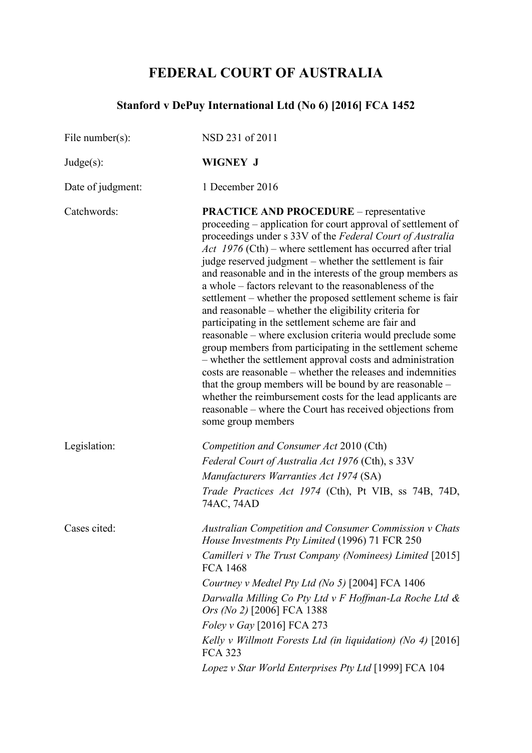# **FEDERAL COURT OF AUSTRALIA**

# **Stanford v DePuy International Ltd (No 6) [2016] FCA 1452**

| NSD 231 of 2011                                                                                                                                                                                                                                                                                                                                                                                                                                                                                                                                                                                                                                                                                                                                                                                                                                                                                                                                                                                                                                                                       |
|---------------------------------------------------------------------------------------------------------------------------------------------------------------------------------------------------------------------------------------------------------------------------------------------------------------------------------------------------------------------------------------------------------------------------------------------------------------------------------------------------------------------------------------------------------------------------------------------------------------------------------------------------------------------------------------------------------------------------------------------------------------------------------------------------------------------------------------------------------------------------------------------------------------------------------------------------------------------------------------------------------------------------------------------------------------------------------------|
| <b>WIGNEY J</b>                                                                                                                                                                                                                                                                                                                                                                                                                                                                                                                                                                                                                                                                                                                                                                                                                                                                                                                                                                                                                                                                       |
| 1 December 2016                                                                                                                                                                                                                                                                                                                                                                                                                                                                                                                                                                                                                                                                                                                                                                                                                                                                                                                                                                                                                                                                       |
| <b>PRACTICE AND PROCEDURE</b> – representative<br>proceeding – application for court approval of settlement of<br>proceedings under s 33V of the Federal Court of Australia<br>Act $1976$ (Cth) – where settlement has occurred after trial<br>judge reserved judgment – whether the settlement is fair<br>and reasonable and in the interests of the group members as<br>a whole – factors relevant to the reasonableness of the<br>settlement – whether the proposed settlement scheme is fair<br>and reasonable – whether the eligibility criteria for<br>participating in the settlement scheme are fair and<br>reasonable – where exclusion criteria would preclude some<br>group members from participating in the settlement scheme<br>- whether the settlement approval costs and administration<br>costs are reasonable – whether the releases and indemnities<br>that the group members will be bound by are reasonable -<br>whether the reimbursement costs for the lead applicants are<br>reasonable – where the Court has received objections from<br>some group members |
| Competition and Consumer Act 2010 (Cth)<br>Federal Court of Australia Act 1976 (Cth), s 33V<br>Manufacturers Warranties Act 1974 (SA)<br>Trade Practices Act 1974 (Cth), Pt VIB, ss 74B, 74D,<br>74AC, 74AD                                                                                                                                                                                                                                                                                                                                                                                                                                                                                                                                                                                                                                                                                                                                                                                                                                                                           |
| <b>Australian Competition and Consumer Commission v Chats</b><br><i>House Investments Pty Limited</i> (1996) 71 FCR 250<br>Camilleri v The Trust Company (Nominees) Limited [2015]<br><b>FCA 1468</b><br>Courtney v Medtel Pty Ltd (No 5) [2004] FCA 1406<br>Darwalla Milling Co Pty Ltd v F Hoffman-La Roche Ltd &<br>Ors (No 2) [2006] FCA 1388<br>Foley v Gay [2016] FCA 273<br>Kelly v Willmott Forests Ltd (in liquidation) (No 4) [2016]<br><b>FCA 323</b><br>Lopez v Star World Enterprises Pty Ltd [1999] FCA 104                                                                                                                                                                                                                                                                                                                                                                                                                                                                                                                                                             |
|                                                                                                                                                                                                                                                                                                                                                                                                                                                                                                                                                                                                                                                                                                                                                                                                                                                                                                                                                                                                                                                                                       |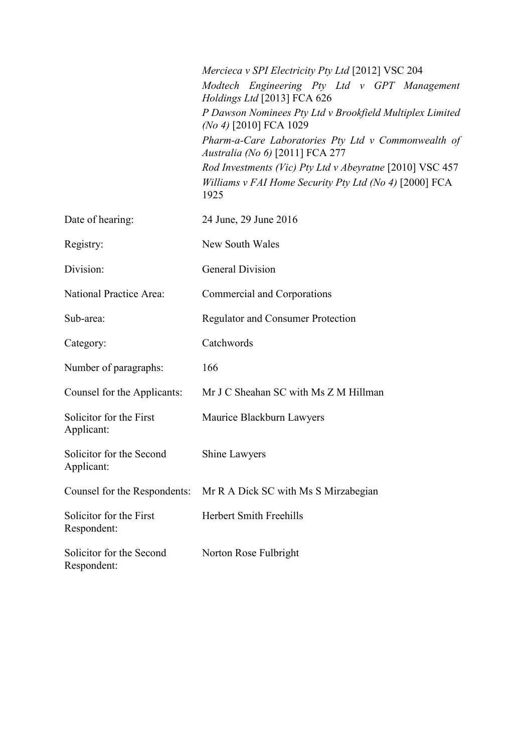|                                         | Mercieca v SPI Electricity Pty Ltd [2012] VSC 204                                                                          |
|-----------------------------------------|----------------------------------------------------------------------------------------------------------------------------|
|                                         | Modtech Engineering Pty Ltd v GPT Management<br>Holdings Ltd [2013] FCA 626                                                |
|                                         | P Dawson Nominees Pty Ltd v Brookfield Multiplex Limited<br>(No 4) [2010] FCA 1029                                         |
|                                         | Pharm-a-Care Laboratories Pty Ltd v Commonwealth of<br>Australia (No 6) [2011] FCA 277                                     |
|                                         | Rod Investments (Vic) Pty Ltd v Abeyratne [2010] VSC 457<br>Williams v FAI Home Security Pty Ltd (No 4) [2000] FCA<br>1925 |
| Date of hearing:                        | 24 June, 29 June 2016                                                                                                      |
| Registry:                               | New South Wales                                                                                                            |
| Division:                               | <b>General Division</b>                                                                                                    |
| National Practice Area:                 | Commercial and Corporations                                                                                                |
| Sub-area:                               | <b>Regulator and Consumer Protection</b>                                                                                   |
| Category:                               | Catchwords                                                                                                                 |
| Number of paragraphs:                   | 166                                                                                                                        |
| Counsel for the Applicants:             | Mr J C Sheahan SC with Ms Z M Hillman                                                                                      |
| Solicitor for the First<br>Applicant:   | Maurice Blackburn Lawyers                                                                                                  |
| Solicitor for the Second<br>Applicant:  | Shine Lawyers                                                                                                              |
| Counsel for the Respondents:            | Mr R A Dick SC with Ms S Mirzabegian                                                                                       |
| Solicitor for the First<br>Respondent:  | <b>Herbert Smith Freehills</b>                                                                                             |
| Solicitor for the Second<br>Respondent: | Norton Rose Fulbright                                                                                                      |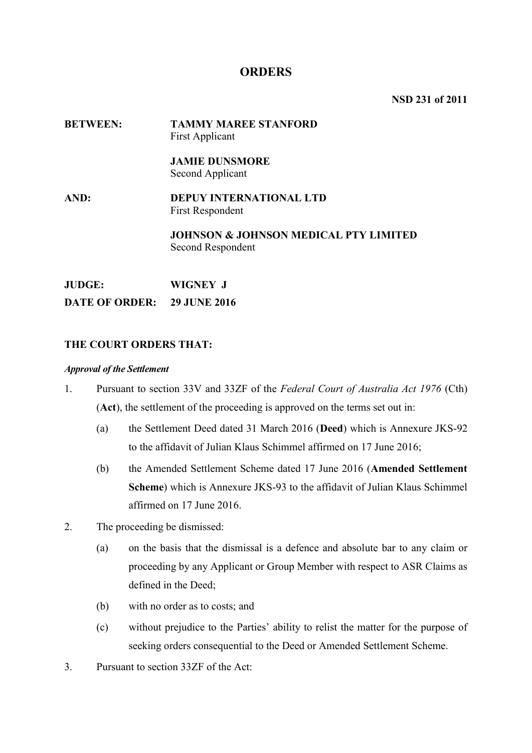# **ORDERS**

**NSD 231 of 2011**

# **BETWEEN: TAMMY MAREE STANFORD**  First Applicant **JAMIE DUNSMORE** Second Applicant **AND: DEPUY INTERNATIONAL LTD**  First Respondent **JOHNSON & JOHNSON MEDICAL PTY LIMITED**  Second Respondent

**JUDGE: WIGNEY J DATE OF ORDER: 29 JUNE 2016**

# **THE COURT ORDERS THAT:**

#### *Approval of the Settlement*

- 1. Pursuant to section 33V and 33ZF of the *Federal Court of Australia Act 1976* (Cth) (**Act**), the settlement of the proceeding is approved on the terms set out in:
	- (a) the Settlement Deed dated 31 March 2016 (**Deed**) which is Annexure JKS-92 to the affidavit of Julian Klaus Schimmel affirmed on 17 June 2016;
	- (b) the Amended Settlement Scheme dated 17 June 2016 (**Amended Settlement Scheme**) which is Annexure JKS-93 to the affidavit of Julian Klaus Schimmel affirmed on 17 June 2016.
- 2. The proceeding be dismissed:
	- (a) on the basis that the dismissal is a defence and absolute bar to any claim or proceeding by any Applicant or Group Member with respect to ASR Claims as defined in the Deed;
	- (b) with no order as to costs; and
	- (c) without prejudice to the Parties' ability to relist the matter for the purpose of seeking orders consequential to the Deed or Amended Settlement Scheme.
- 3. Pursuant to section 33ZF of the Act: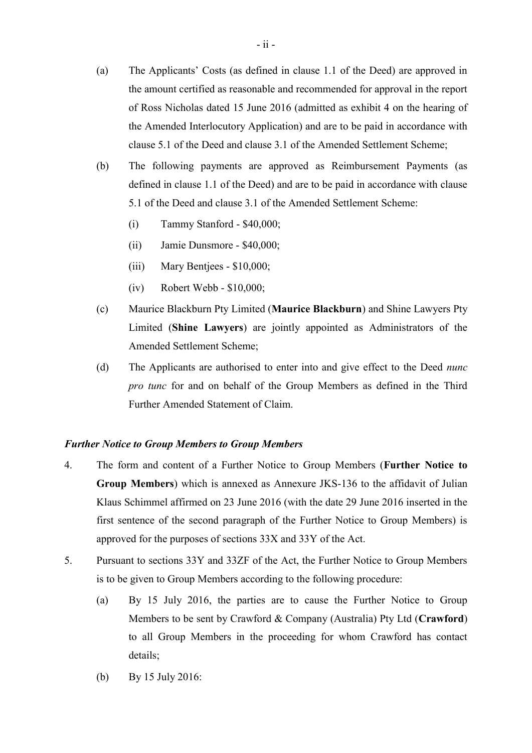- (a) The Applicants' Costs (as defined in clause 1.1 of the Deed) are approved in the amount certified as reasonable and recommended for approval in the report of Ross Nicholas dated 15 June 2016 (admitted as exhibit 4 on the hearing of the Amended Interlocutory Application) and are to be paid in accordance with clause 5.1 of the Deed and clause 3.1 of the Amended Settlement Scheme;
- (b) The following payments are approved as Reimbursement Payments (as defined in clause 1.1 of the Deed) and are to be paid in accordance with clause 5.1 of the Deed and clause 3.1 of the Amended Settlement Scheme:
	- (i) Tammy Stanford \$40,000;
	- (ii) Jamie Dunsmore \$40,000;
	- (iii) Mary Bentjees \$10,000;
	- (iv) Robert Webb \$10,000;
- (c) Maurice Blackburn Pty Limited (**Maurice Blackburn**) and Shine Lawyers Pty Limited (**Shine Lawyers**) are jointly appointed as Administrators of the Amended Settlement Scheme;
- (d) The Applicants are authorised to enter into and give effect to the Deed *nunc pro tunc* for and on behalf of the Group Members as defined in the Third Further Amended Statement of Claim.

# *Further Notice to Group Members to Group Members*

- 4. The form and content of a Further Notice to Group Members (**Further Notice to Group Members**) which is annexed as Annexure JKS-136 to the affidavit of Julian Klaus Schimmel affirmed on 23 June 2016 (with the date 29 June 2016 inserted in the first sentence of the second paragraph of the Further Notice to Group Members) is approved for the purposes of sections 33X and 33Y of the Act.
- 5. Pursuant to sections 33Y and 33ZF of the Act, the Further Notice to Group Members is to be given to Group Members according to the following procedure:
	- (a) By 15 July 2016, the parties are to cause the Further Notice to Group Members to be sent by Crawford & Company (Australia) Pty Ltd (**Crawford**) to all Group Members in the proceeding for whom Crawford has contact details;
	- (b) By 15 July 2016: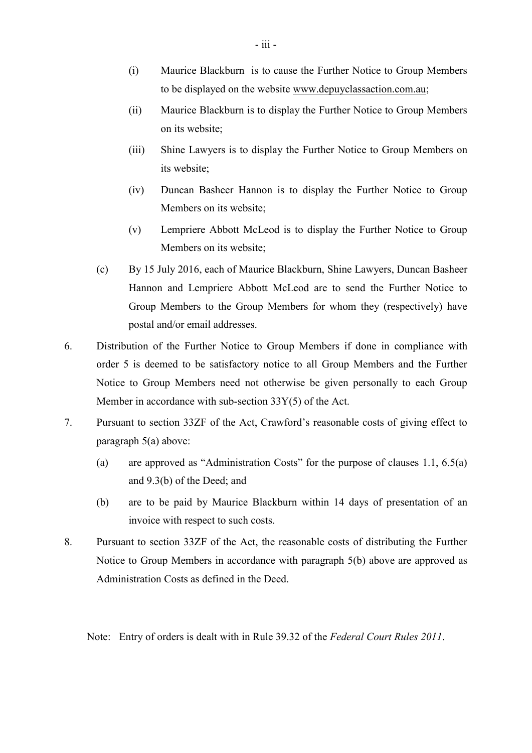- (i) Maurice Blackburn is to cause the Further Notice to Group Members to be displayed on the website www.depuyclassaction.com.au;
- (ii) Maurice Blackburn is to display the Further Notice to Group Members on its website;
- (iii) Shine Lawyers is to display the Further Notice to Group Members on its website;
- (iv) Duncan Basheer Hannon is to display the Further Notice to Group Members on its website;
- (v) Lempriere Abbott McLeod is to display the Further Notice to Group Members on its website;
- (c) By 15 July 2016, each of Maurice Blackburn, Shine Lawyers, Duncan Basheer Hannon and Lempriere Abbott McLeod are to send the Further Notice to Group Members to the Group Members for whom they (respectively) have postal and/or email addresses.
- 6. Distribution of the Further Notice to Group Members if done in compliance with order 5 is deemed to be satisfactory notice to all Group Members and the Further Notice to Group Members need not otherwise be given personally to each Group Member in accordance with sub-section 33Y(5) of the Act.
- 7. Pursuant to section 33ZF of the Act, Crawford's reasonable costs of giving effect to paragraph 5(a) above:
	- (a) are approved as "Administration Costs" for the purpose of clauses 1.1, 6.5(a) and 9.3(b) of the Deed; and
	- (b) are to be paid by Maurice Blackburn within 14 days of presentation of an invoice with respect to such costs.
- 8. Pursuant to section 33ZF of the Act, the reasonable costs of distributing the Further Notice to Group Members in accordance with paragraph 5(b) above are approved as Administration Costs as defined in the Deed.

Note: Entry of orders is dealt with in Rule 39.32 of the *Federal Court Rules 2011*.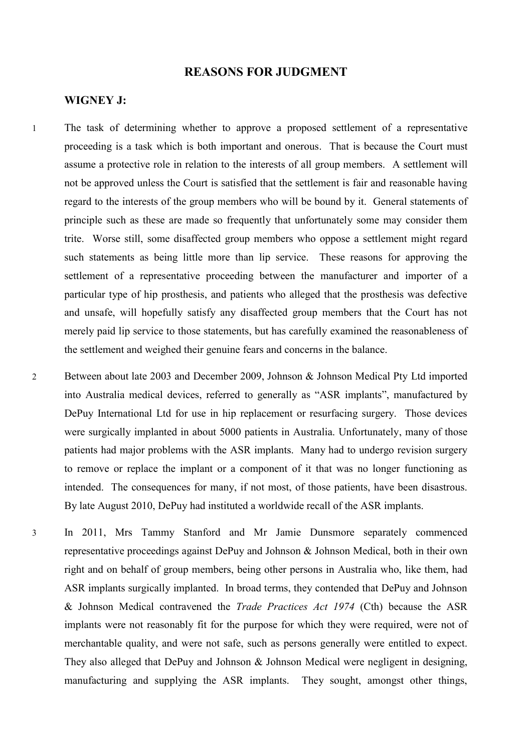# **REASONS FOR JUDGMENT**

#### **WIGNEY J:**

1 The task of determining whether to approve a proposed settlement of a representative proceeding is a task which is both important and onerous. That is because the Court must assume a protective role in relation to the interests of all group members. A settlement will not be approved unless the Court is satisfied that the settlement is fair and reasonable having regard to the interests of the group members who will be bound by it. General statements of principle such as these are made so frequently that unfortunately some may consider them trite. Worse still, some disaffected group members who oppose a settlement might regard such statements as being little more than lip service. These reasons for approving the settlement of a representative proceeding between the manufacturer and importer of a particular type of hip prosthesis, and patients who alleged that the prosthesis was defective and unsafe, will hopefully satisfy any disaffected group members that the Court has not merely paid lip service to those statements, but has carefully examined the reasonableness of the settlement and weighed their genuine fears and concerns in the balance.

2 Between about late 2003 and December 2009, Johnson & Johnson Medical Pty Ltd imported into Australia medical devices, referred to generally as "ASR implants", manufactured by DePuy International Ltd for use in hip replacement or resurfacing surgery. Those devices were surgically implanted in about 5000 patients in Australia. Unfortunately, many of those patients had major problems with the ASR implants. Many had to undergo revision surgery to remove or replace the implant or a component of it that was no longer functioning as intended. The consequences for many, if not most, of those patients, have been disastrous. By late August 2010, DePuy had instituted a worldwide recall of the ASR implants.

3 In 2011, Mrs Tammy Stanford and Mr Jamie Dunsmore separately commenced representative proceedings against DePuy and Johnson & Johnson Medical, both in their own right and on behalf of group members, being other persons in Australia who, like them, had ASR implants surgically implanted. In broad terms, they contended that DePuy and Johnson & Johnson Medical contravened the *Trade Practices Act 1974* (Cth) because the ASR implants were not reasonably fit for the purpose for which they were required, were not of merchantable quality, and were not safe, such as persons generally were entitled to expect. They also alleged that DePuy and Johnson & Johnson Medical were negligent in designing, manufacturing and supplying the ASR implants. They sought, amongst other things,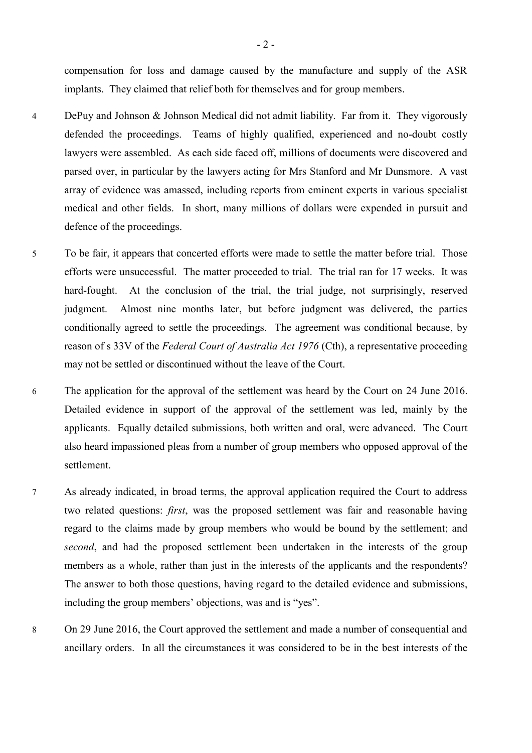compensation for loss and damage caused by the manufacture and supply of the ASR implants. They claimed that relief both for themselves and for group members.

- 4 DePuy and Johnson & Johnson Medical did not admit liability. Far from it. They vigorously defended the proceedings. Teams of highly qualified, experienced and no-doubt costly lawyers were assembled. As each side faced off, millions of documents were discovered and parsed over, in particular by the lawyers acting for Mrs Stanford and Mr Dunsmore. A vast array of evidence was amassed, including reports from eminent experts in various specialist medical and other fields. In short, many millions of dollars were expended in pursuit and defence of the proceedings.
- 5 To be fair, it appears that concerted efforts were made to settle the matter before trial. Those efforts were unsuccessful. The matter proceeded to trial. The trial ran for 17 weeks. It was hard-fought. At the conclusion of the trial, the trial judge, not surprisingly, reserved judgment. Almost nine months later, but before judgment was delivered, the parties conditionally agreed to settle the proceedings. The agreement was conditional because, by reason of s 33V of the *Federal Court of Australia Act 1976* (Cth), a representative proceeding may not be settled or discontinued without the leave of the Court.
- 6 The application for the approval of the settlement was heard by the Court on 24 June 2016. Detailed evidence in support of the approval of the settlement was led, mainly by the applicants. Equally detailed submissions, both written and oral, were advanced. The Court also heard impassioned pleas from a number of group members who opposed approval of the settlement.
- 7 As already indicated, in broad terms, the approval application required the Court to address two related questions: *first*, was the proposed settlement was fair and reasonable having regard to the claims made by group members who would be bound by the settlement; and *second*, and had the proposed settlement been undertaken in the interests of the group members as a whole, rather than just in the interests of the applicants and the respondents? The answer to both those questions, having regard to the detailed evidence and submissions, including the group members' objections, was and is "yes".
- 8 On 29 June 2016, the Court approved the settlement and made a number of consequential and ancillary orders. In all the circumstances it was considered to be in the best interests of the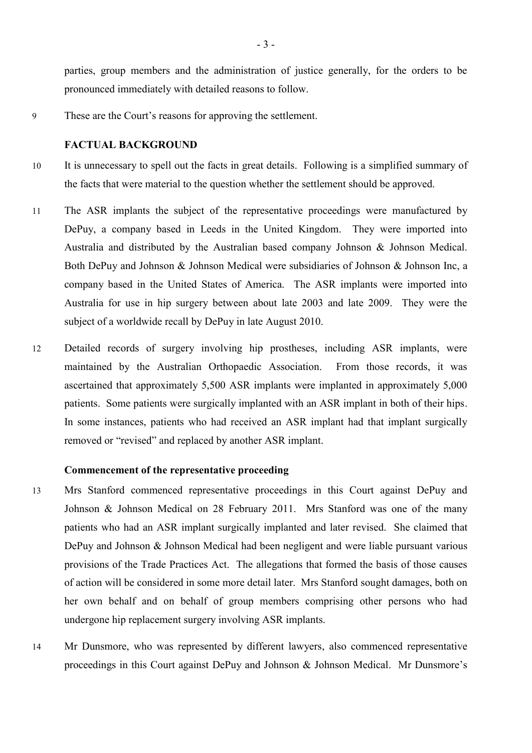parties, group members and the administration of justice generally, for the orders to be pronounced immediately with detailed reasons to follow.

9 These are the Court's reasons for approving the settlement.

# **FACTUAL BACKGROUND**

- 10 It is unnecessary to spell out the facts in great details. Following is a simplified summary of the facts that were material to the question whether the settlement should be approved.
- 11 The ASR implants the subject of the representative proceedings were manufactured by DePuy, a company based in Leeds in the United Kingdom. They were imported into Australia and distributed by the Australian based company Johnson & Johnson Medical. Both DePuy and Johnson & Johnson Medical were subsidiaries of Johnson & Johnson Inc, a company based in the United States of America. The ASR implants were imported into Australia for use in hip surgery between about late 2003 and late 2009. They were the subject of a worldwide recall by DePuy in late August 2010.
- 12 Detailed records of surgery involving hip prostheses, including ASR implants, were maintained by the Australian Orthopaedic Association. From those records, it was ascertained that approximately 5,500 ASR implants were implanted in approximately 5,000 patients. Some patients were surgically implanted with an ASR implant in both of their hips. In some instances, patients who had received an ASR implant had that implant surgically removed or "revised" and replaced by another ASR implant.

#### **Commencement of the representative proceeding**

- 13 Mrs Stanford commenced representative proceedings in this Court against DePuy and Johnson & Johnson Medical on 28 February 2011. Mrs Stanford was one of the many patients who had an ASR implant surgically implanted and later revised. She claimed that DePuy and Johnson & Johnson Medical had been negligent and were liable pursuant various provisions of the Trade Practices Act. The allegations that formed the basis of those causes of action will be considered in some more detail later. Mrs Stanford sought damages, both on her own behalf and on behalf of group members comprising other persons who had undergone hip replacement surgery involving ASR implants.
- 14 Mr Dunsmore, who was represented by different lawyers, also commenced representative proceedings in this Court against DePuy and Johnson & Johnson Medical. Mr Dunsmore's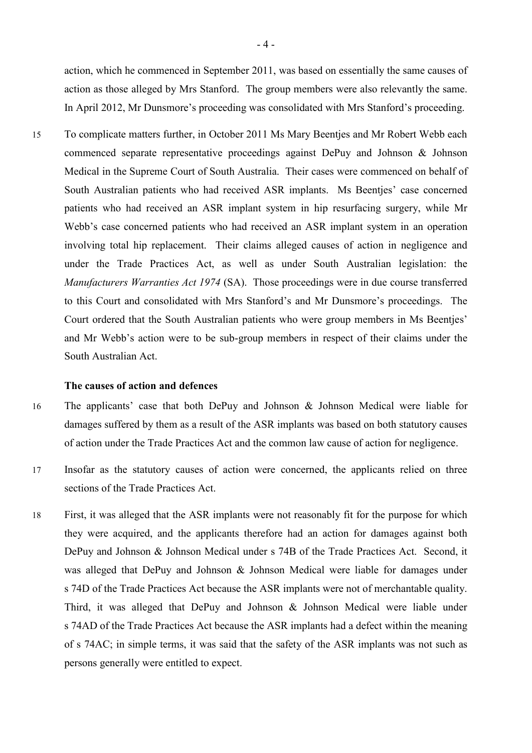action, which he commenced in September 2011, was based on essentially the same causes of action as those alleged by Mrs Stanford. The group members were also relevantly the same. In April 2012, Mr Dunsmore's proceeding was consolidated with Mrs Stanford's proceeding.

15 To complicate matters further, in October 2011 Ms Mary Beentjes and Mr Robert Webb each commenced separate representative proceedings against DePuy and Johnson & Johnson Medical in the Supreme Court of South Australia. Their cases were commenced on behalf of South Australian patients who had received ASR implants. Ms Beentjes' case concerned patients who had received an ASR implant system in hip resurfacing surgery, while Mr Webb's case concerned patients who had received an ASR implant system in an operation involving total hip replacement. Their claims alleged causes of action in negligence and under the Trade Practices Act, as well as under South Australian legislation: the *Manufacturers Warranties Act 1974* (SA). Those proceedings were in due course transferred to this Court and consolidated with Mrs Stanford's and Mr Dunsmore's proceedings. The Court ordered that the South Australian patients who were group members in Ms Beentjes' and Mr Webb's action were to be sub-group members in respect of their claims under the South Australian Act.

#### **The causes of action and defences**

- 16 The applicants' case that both DePuy and Johnson & Johnson Medical were liable for damages suffered by them as a result of the ASR implants was based on both statutory causes of action under the Trade Practices Act and the common law cause of action for negligence.
- 17 Insofar as the statutory causes of action were concerned, the applicants relied on three sections of the Trade Practices Act.
- 18 First, it was alleged that the ASR implants were not reasonably fit for the purpose for which they were acquired, and the applicants therefore had an action for damages against both DePuy and Johnson & Johnson Medical under s 74B of the Trade Practices Act. Second, it was alleged that DePuy and Johnson & Johnson Medical were liable for damages under s 74D of the Trade Practices Act because the ASR implants were not of merchantable quality. Third, it was alleged that DePuy and Johnson & Johnson Medical were liable under s 74AD of the Trade Practices Act because the ASR implants had a defect within the meaning of s 74AC; in simple terms, it was said that the safety of the ASR implants was not such as persons generally were entitled to expect.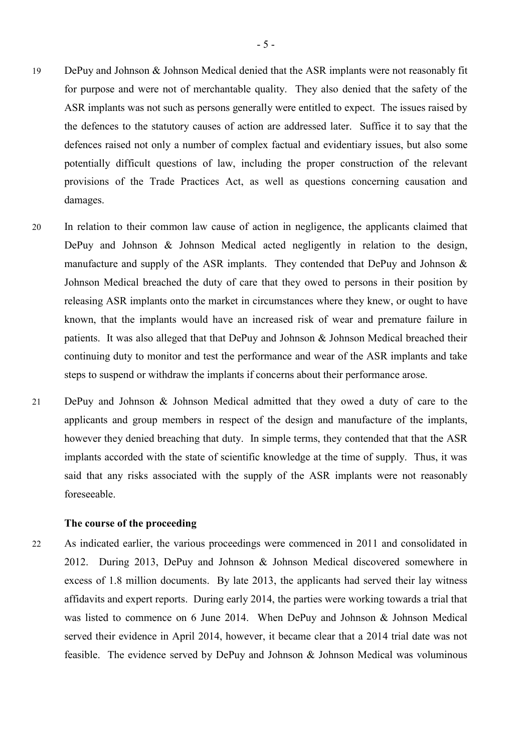- 19 DePuy and Johnson & Johnson Medical denied that the ASR implants were not reasonably fit for purpose and were not of merchantable quality. They also denied that the safety of the ASR implants was not such as persons generally were entitled to expect. The issues raised by the defences to the statutory causes of action are addressed later. Suffice it to say that the defences raised not only a number of complex factual and evidentiary issues, but also some potentially difficult questions of law, including the proper construction of the relevant provisions of the Trade Practices Act, as well as questions concerning causation and damages.
- 20 In relation to their common law cause of action in negligence, the applicants claimed that DePuy and Johnson & Johnson Medical acted negligently in relation to the design, manufacture and supply of the ASR implants. They contended that DePuy and Johnson & Johnson Medical breached the duty of care that they owed to persons in their position by releasing ASR implants onto the market in circumstances where they knew, or ought to have known, that the implants would have an increased risk of wear and premature failure in patients. It was also alleged that that DePuy and Johnson & Johnson Medical breached their continuing duty to monitor and test the performance and wear of the ASR implants and take steps to suspend or withdraw the implants if concerns about their performance arose.
- 21 DePuy and Johnson & Johnson Medical admitted that they owed a duty of care to the applicants and group members in respect of the design and manufacture of the implants, however they denied breaching that duty. In simple terms, they contended that that the ASR implants accorded with the state of scientific knowledge at the time of supply. Thus, it was said that any risks associated with the supply of the ASR implants were not reasonably foreseeable.

#### **The course of the proceeding**

22 As indicated earlier, the various proceedings were commenced in 2011 and consolidated in 2012. During 2013, DePuy and Johnson & Johnson Medical discovered somewhere in excess of 1.8 million documents. By late 2013, the applicants had served their lay witness affidavits and expert reports. During early 2014, the parties were working towards a trial that was listed to commence on 6 June 2014. When DePuy and Johnson & Johnson Medical served their evidence in April 2014, however, it became clear that a 2014 trial date was not feasible. The evidence served by DePuy and Johnson & Johnson Medical was voluminous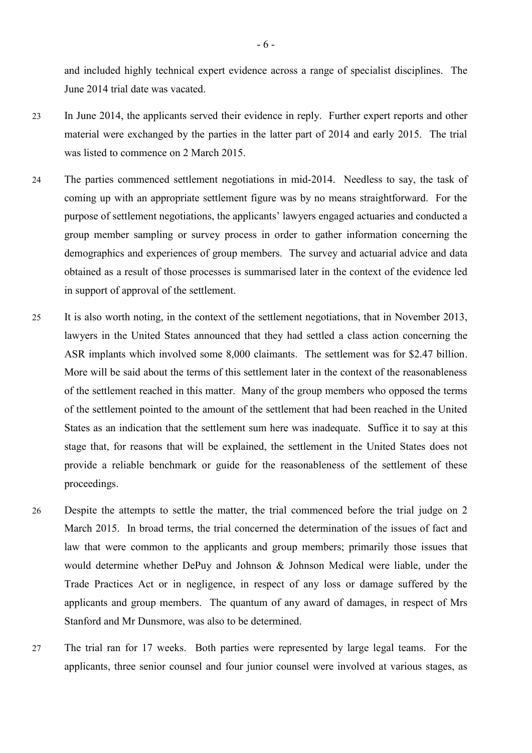and included highly technical expert evidence across a range of specialist disciplines. The June 2014 trial date was vacated.

- 23 In June 2014, the applicants served their evidence in reply. Further expert reports and other material were exchanged by the parties in the latter part of 2014 and early 2015. The trial was listed to commence on 2 March 2015.
- 24 The parties commenced settlement negotiations in mid-2014. Needless to say, the task of coming up with an appropriate settlement figure was by no means straightforward. For the purpose of settlement negotiations, the applicants' lawyers engaged actuaries and conducted a group member sampling or survey process in order to gather information concerning the demographics and experiences of group members. The survey and actuarial advice and data obtained as a result of those processes is summarised later in the context of the evidence led in support of approval of the settlement.
- 25 It is also worth noting, in the context of the settlement negotiations, that in November 2013, lawyers in the United States announced that they had settled a class action concerning the ASR implants which involved some 8,000 claimants. The settlement was for \$2.47 billion. More will be said about the terms of this settlement later in the context of the reasonableness of the settlement reached in this matter. Many of the group members who opposed the terms of the settlement pointed to the amount of the settlement that had been reached in the United States as an indication that the settlement sum here was inadequate. Suffice it to say at this stage that, for reasons that will be explained, the settlement in the United States does not provide a reliable benchmark or guide for the reasonableness of the settlement of these proceedings.
- 26 Despite the attempts to settle the matter, the trial commenced before the trial judge on 2 March 2015. In broad terms, the trial concerned the determination of the issues of fact and law that were common to the applicants and group members; primarily those issues that would determine whether DePuy and Johnson & Johnson Medical were liable, under the Trade Practices Act or in negligence, in respect of any loss or damage suffered by the applicants and group members. The quantum of any award of damages, in respect of Mrs Stanford and Mr Dunsmore, was also to be determined.
- 27 The trial ran for 17 weeks. Both parties were represented by large legal teams. For the applicants, three senior counsel and four junior counsel were involved at various stages, as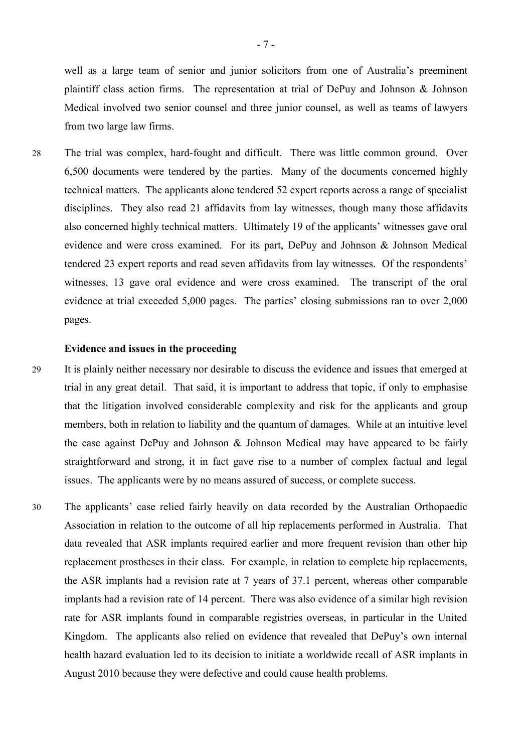well as a large team of senior and junior solicitors from one of Australia's preeminent plaintiff class action firms. The representation at trial of DePuy and Johnson & Johnson Medical involved two senior counsel and three junior counsel, as well as teams of lawyers from two large law firms.

28 The trial was complex, hard-fought and difficult. There was little common ground. Over 6,500 documents were tendered by the parties. Many of the documents concerned highly technical matters. The applicants alone tendered 52 expert reports across a range of specialist disciplines. They also read 21 affidavits from lay witnesses, though many those affidavits also concerned highly technical matters. Ultimately 19 of the applicants' witnesses gave oral evidence and were cross examined. For its part, DePuy and Johnson & Johnson Medical tendered 23 expert reports and read seven affidavits from lay witnesses. Of the respondents' witnesses, 13 gave oral evidence and were cross examined. The transcript of the oral evidence at trial exceeded 5,000 pages. The parties' closing submissions ran to over 2,000 pages.

#### **Evidence and issues in the proceeding**

- 29 It is plainly neither necessary nor desirable to discuss the evidence and issues that emerged at trial in any great detail. That said, it is important to address that topic, if only to emphasise that the litigation involved considerable complexity and risk for the applicants and group members, both in relation to liability and the quantum of damages. While at an intuitive level the case against DePuy and Johnson & Johnson Medical may have appeared to be fairly straightforward and strong, it in fact gave rise to a number of complex factual and legal issues. The applicants were by no means assured of success, or complete success.
- 30 The applicants' case relied fairly heavily on data recorded by the Australian Orthopaedic Association in relation to the outcome of all hip replacements performed in Australia. That data revealed that ASR implants required earlier and more frequent revision than other hip replacement prostheses in their class. For example, in relation to complete hip replacements, the ASR implants had a revision rate at 7 years of 37.1 percent, whereas other comparable implants had a revision rate of 14 percent. There was also evidence of a similar high revision rate for ASR implants found in comparable registries overseas, in particular in the United Kingdom. The applicants also relied on evidence that revealed that DePuy's own internal health hazard evaluation led to its decision to initiate a worldwide recall of ASR implants in August 2010 because they were defective and could cause health problems.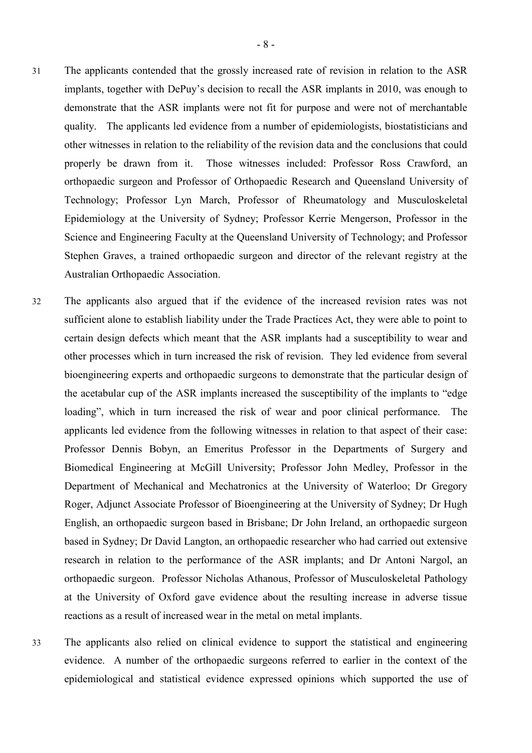- 31 The applicants contended that the grossly increased rate of revision in relation to the ASR implants, together with DePuy's decision to recall the ASR implants in 2010, was enough to demonstrate that the ASR implants were not fit for purpose and were not of merchantable quality. The applicants led evidence from a number of epidemiologists, biostatisticians and other witnesses in relation to the reliability of the revision data and the conclusions that could properly be drawn from it. Those witnesses included: Professor Ross Crawford, an orthopaedic surgeon and Professor of Orthopaedic Research and Queensland University of Technology; Professor Lyn March, Professor of Rheumatology and Musculoskeletal Epidemiology at the University of Sydney; Professor Kerrie Mengerson, Professor in the Science and Engineering Faculty at the Queensland University of Technology; and Professor Stephen Graves, a trained orthopaedic surgeon and director of the relevant registry at the Australian Orthopaedic Association.
- 32 The applicants also argued that if the evidence of the increased revision rates was not sufficient alone to establish liability under the Trade Practices Act, they were able to point to certain design defects which meant that the ASR implants had a susceptibility to wear and other processes which in turn increased the risk of revision. They led evidence from several bioengineering experts and orthopaedic surgeons to demonstrate that the particular design of the acetabular cup of the ASR implants increased the susceptibility of the implants to "edge loading", which in turn increased the risk of wear and poor clinical performance. The applicants led evidence from the following witnesses in relation to that aspect of their case: Professor Dennis Bobyn, an Emeritus Professor in the Departments of Surgery and Biomedical Engineering at McGill University; Professor John Medley, Professor in the Department of Mechanical and Mechatronics at the University of Waterloo; Dr Gregory Roger, Adjunct Associate Professor of Bioengineering at the University of Sydney; Dr Hugh English, an orthopaedic surgeon based in Brisbane; Dr John Ireland, an orthopaedic surgeon based in Sydney; Dr David Langton, an orthopaedic researcher who had carried out extensive research in relation to the performance of the ASR implants; and Dr Antoni Nargol, an orthopaedic surgeon. Professor Nicholas Athanous, Professor of Musculoskeletal Pathology at the University of Oxford gave evidence about the resulting increase in adverse tissue reactions as a result of increased wear in the metal on metal implants.
- 33 The applicants also relied on clinical evidence to support the statistical and engineering evidence. A number of the orthopaedic surgeons referred to earlier in the context of the epidemiological and statistical evidence expressed opinions which supported the use of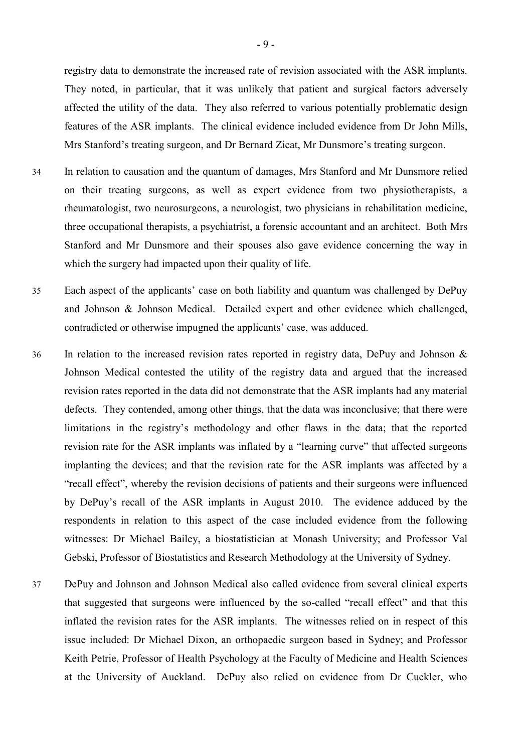registry data to demonstrate the increased rate of revision associated with the ASR implants. They noted, in particular, that it was unlikely that patient and surgical factors adversely affected the utility of the data. They also referred to various potentially problematic design features of the ASR implants. The clinical evidence included evidence from Dr John Mills, Mrs Stanford's treating surgeon, and Dr Bernard Zicat, Mr Dunsmore's treating surgeon.

- 34 In relation to causation and the quantum of damages, Mrs Stanford and Mr Dunsmore relied on their treating surgeons, as well as expert evidence from two physiotherapists, a rheumatologist, two neurosurgeons, a neurologist, two physicians in rehabilitation medicine, three occupational therapists, a psychiatrist, a forensic accountant and an architect. Both Mrs Stanford and Mr Dunsmore and their spouses also gave evidence concerning the way in which the surgery had impacted upon their quality of life.
- 35 Each aspect of the applicants' case on both liability and quantum was challenged by DePuy and Johnson & Johnson Medical. Detailed expert and other evidence which challenged, contradicted or otherwise impugned the applicants' case, was adduced.
- 36 In relation to the increased revision rates reported in registry data, DePuy and Johnson & Johnson Medical contested the utility of the registry data and argued that the increased revision rates reported in the data did not demonstrate that the ASR implants had any material defects. They contended, among other things, that the data was inconclusive; that there were limitations in the registry's methodology and other flaws in the data; that the reported revision rate for the ASR implants was inflated by a "learning curve" that affected surgeons implanting the devices; and that the revision rate for the ASR implants was affected by a "recall effect", whereby the revision decisions of patients and their surgeons were influenced by DePuy's recall of the ASR implants in August 2010. The evidence adduced by the respondents in relation to this aspect of the case included evidence from the following witnesses: Dr Michael Bailey, a biostatistician at Monash University; and Professor Val Gebski, Professor of Biostatistics and Research Methodology at the University of Sydney.
- 37 DePuy and Johnson and Johnson Medical also called evidence from several clinical experts that suggested that surgeons were influenced by the so-called "recall effect" and that this inflated the revision rates for the ASR implants. The witnesses relied on in respect of this issue included: Dr Michael Dixon, an orthopaedic surgeon based in Sydney; and Professor Keith Petrie, Professor of Health Psychology at the Faculty of Medicine and Health Sciences at the University of Auckland. DePuy also relied on evidence from Dr Cuckler, who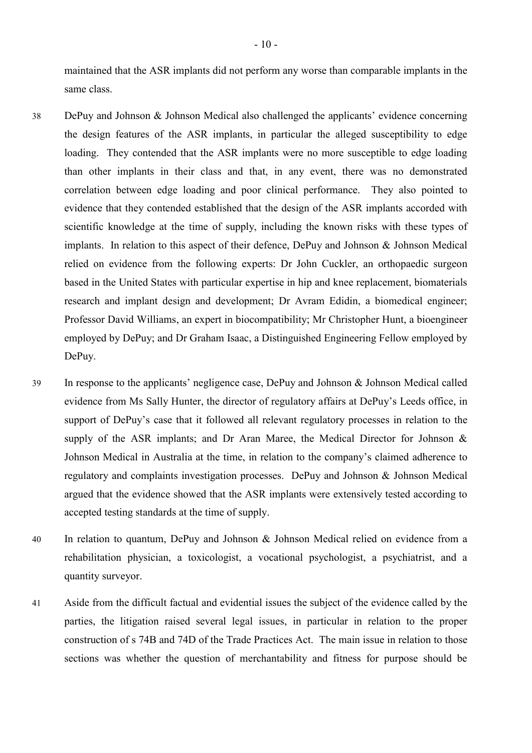maintained that the ASR implants did not perform any worse than comparable implants in the same class.

- 38 DePuy and Johnson & Johnson Medical also challenged the applicants' evidence concerning the design features of the ASR implants, in particular the alleged susceptibility to edge loading. They contended that the ASR implants were no more susceptible to edge loading than other implants in their class and that, in any event, there was no demonstrated correlation between edge loading and poor clinical performance. They also pointed to evidence that they contended established that the design of the ASR implants accorded with scientific knowledge at the time of supply, including the known risks with these types of implants. In relation to this aspect of their defence, DePuy and Johnson & Johnson Medical relied on evidence from the following experts: Dr John Cuckler, an orthopaedic surgeon based in the United States with particular expertise in hip and knee replacement, biomaterials research and implant design and development; Dr Avram Edidin, a biomedical engineer; Professor David Williams, an expert in biocompatibility; Mr Christopher Hunt, a bioengineer employed by DePuy; and Dr Graham Isaac, a Distinguished Engineering Fellow employed by DePuy.
- 39 In response to the applicants' negligence case, DePuy and Johnson & Johnson Medical called evidence from Ms Sally Hunter, the director of regulatory affairs at DePuy's Leeds office, in support of DePuy's case that it followed all relevant regulatory processes in relation to the supply of the ASR implants; and Dr Aran Maree, the Medical Director for Johnson & Johnson Medical in Australia at the time, in relation to the company's claimed adherence to regulatory and complaints investigation processes. DePuy and Johnson & Johnson Medical argued that the evidence showed that the ASR implants were extensively tested according to accepted testing standards at the time of supply.
- 40 In relation to quantum, DePuy and Johnson & Johnson Medical relied on evidence from a rehabilitation physician, a toxicologist, a vocational psychologist, a psychiatrist, and a quantity surveyor.
- 41 Aside from the difficult factual and evidential issues the subject of the evidence called by the parties, the litigation raised several legal issues, in particular in relation to the proper construction of s 74B and 74D of the Trade Practices Act. The main issue in relation to those sections was whether the question of merchantability and fitness for purpose should be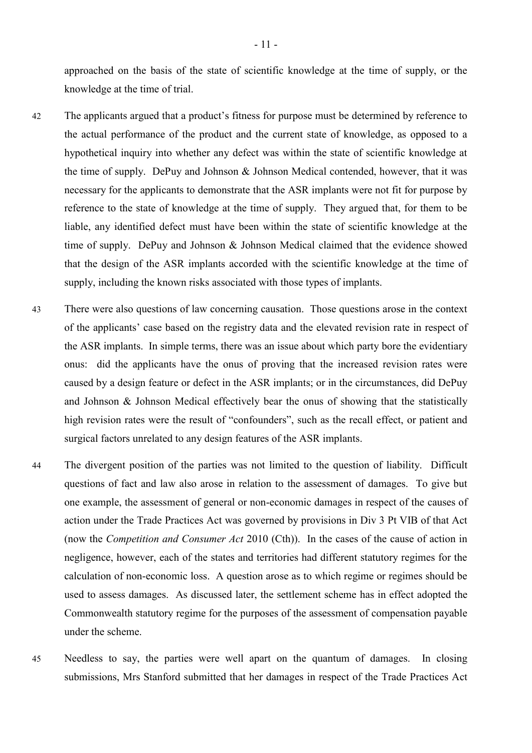approached on the basis of the state of scientific knowledge at the time of supply, or the knowledge at the time of trial.

- 42 The applicants argued that a product's fitness for purpose must be determined by reference to the actual performance of the product and the current state of knowledge, as opposed to a hypothetical inquiry into whether any defect was within the state of scientific knowledge at the time of supply. DePuy and Johnson & Johnson Medical contended, however, that it was necessary for the applicants to demonstrate that the ASR implants were not fit for purpose by reference to the state of knowledge at the time of supply. They argued that, for them to be liable, any identified defect must have been within the state of scientific knowledge at the time of supply. DePuy and Johnson & Johnson Medical claimed that the evidence showed that the design of the ASR implants accorded with the scientific knowledge at the time of supply, including the known risks associated with those types of implants.
- 43 There were also questions of law concerning causation. Those questions arose in the context of the applicants' case based on the registry data and the elevated revision rate in respect of the ASR implants. In simple terms, there was an issue about which party bore the evidentiary onus: did the applicants have the onus of proving that the increased revision rates were caused by a design feature or defect in the ASR implants; or in the circumstances, did DePuy and Johnson & Johnson Medical effectively bear the onus of showing that the statistically high revision rates were the result of "confounders", such as the recall effect, or patient and surgical factors unrelated to any design features of the ASR implants.
- 44 The divergent position of the parties was not limited to the question of liability. Difficult questions of fact and law also arose in relation to the assessment of damages. To give but one example, the assessment of general or non-economic damages in respect of the causes of action under the Trade Practices Act was governed by provisions in Div 3 Pt VIB of that Act (now the *Competition and Consumer Act* 2010 (Cth)). In the cases of the cause of action in negligence, however, each of the states and territories had different statutory regimes for the calculation of non-economic loss. A question arose as to which regime or regimes should be used to assess damages. As discussed later, the settlement scheme has in effect adopted the Commonwealth statutory regime for the purposes of the assessment of compensation payable under the scheme.
- 45 Needless to say, the parties were well apart on the quantum of damages. In closing submissions, Mrs Stanford submitted that her damages in respect of the Trade Practices Act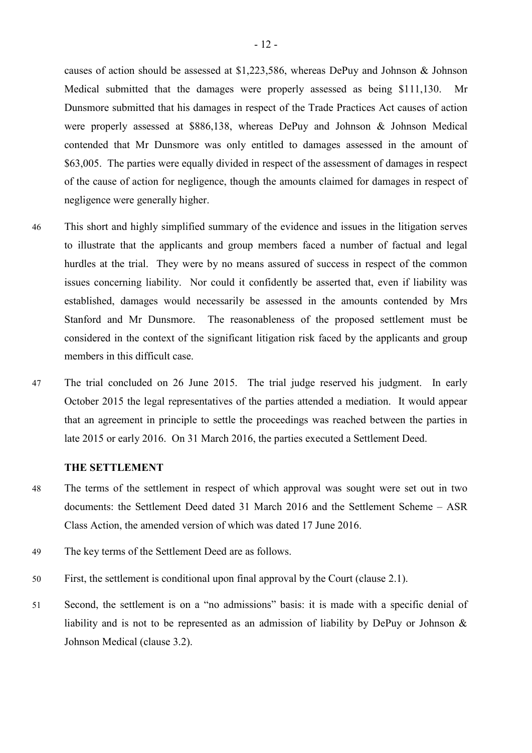causes of action should be assessed at \$1,223,586, whereas DePuy and Johnson & Johnson Medical submitted that the damages were properly assessed as being \$111,130. Mr Dunsmore submitted that his damages in respect of the Trade Practices Act causes of action were properly assessed at \$886,138, whereas DePuy and Johnson & Johnson Medical contended that Mr Dunsmore was only entitled to damages assessed in the amount of \$63,005. The parties were equally divided in respect of the assessment of damages in respect of the cause of action for negligence, though the amounts claimed for damages in respect of negligence were generally higher.

- 46 This short and highly simplified summary of the evidence and issues in the litigation serves to illustrate that the applicants and group members faced a number of factual and legal hurdles at the trial. They were by no means assured of success in respect of the common issues concerning liability. Nor could it confidently be asserted that, even if liability was established, damages would necessarily be assessed in the amounts contended by Mrs Stanford and Mr Dunsmore. The reasonableness of the proposed settlement must be considered in the context of the significant litigation risk faced by the applicants and group members in this difficult case.
- 47 The trial concluded on 26 June 2015. The trial judge reserved his judgment. In early October 2015 the legal representatives of the parties attended a mediation. It would appear that an agreement in principle to settle the proceedings was reached between the parties in late 2015 or early 2016. On 31 March 2016, the parties executed a Settlement Deed.

# **THE SETTLEMENT**

- 48 The terms of the settlement in respect of which approval was sought were set out in two documents: the Settlement Deed dated 31 March 2016 and the Settlement Scheme – ASR Class Action, the amended version of which was dated 17 June 2016.
- 49 The key terms of the Settlement Deed are as follows.
- 50 First, the settlement is conditional upon final approval by the Court (clause 2.1).
- 51 Second, the settlement is on a "no admissions" basis: it is made with a specific denial of liability and is not to be represented as an admission of liability by DePuy or Johnson & Johnson Medical (clause 3.2).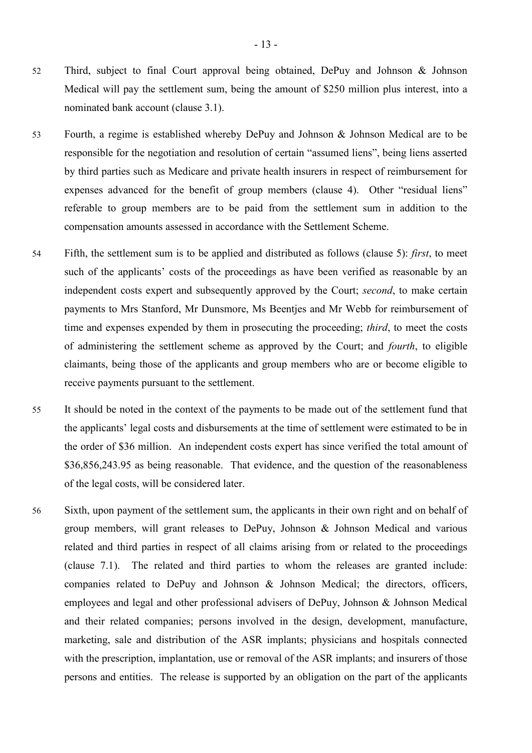- 52 Third, subject to final Court approval being obtained, DePuy and Johnson & Johnson Medical will pay the settlement sum, being the amount of \$250 million plus interest, into a nominated bank account (clause 3.1).
- 53 Fourth, a regime is established whereby DePuy and Johnson & Johnson Medical are to be responsible for the negotiation and resolution of certain "assumed liens", being liens asserted by third parties such as Medicare and private health insurers in respect of reimbursement for expenses advanced for the benefit of group members (clause 4). Other "residual liens" referable to group members are to be paid from the settlement sum in addition to the compensation amounts assessed in accordance with the Settlement Scheme.
- 54 Fifth, the settlement sum is to be applied and distributed as follows (clause 5): *first*, to meet such of the applicants' costs of the proceedings as have been verified as reasonable by an independent costs expert and subsequently approved by the Court; *second*, to make certain payments to Mrs Stanford, Mr Dunsmore, Ms Beentjes and Mr Webb for reimbursement of time and expenses expended by them in prosecuting the proceeding; *third*, to meet the costs of administering the settlement scheme as approved by the Court; and *fourth*, to eligible claimants, being those of the applicants and group members who are or become eligible to receive payments pursuant to the settlement.
- 55 It should be noted in the context of the payments to be made out of the settlement fund that the applicants' legal costs and disbursements at the time of settlement were estimated to be in the order of \$36 million. An independent costs expert has since verified the total amount of \$36,856,243.95 as being reasonable. That evidence, and the question of the reasonableness of the legal costs, will be considered later.
- 56 Sixth, upon payment of the settlement sum, the applicants in their own right and on behalf of group members, will grant releases to DePuy, Johnson & Johnson Medical and various related and third parties in respect of all claims arising from or related to the proceedings (clause 7.1). The related and third parties to whom the releases are granted include: companies related to DePuy and Johnson & Johnson Medical; the directors, officers, employees and legal and other professional advisers of DePuy, Johnson & Johnson Medical and their related companies; persons involved in the design, development, manufacture, marketing, sale and distribution of the ASR implants; physicians and hospitals connected with the prescription, implantation, use or removal of the ASR implants; and insurers of those persons and entities. The release is supported by an obligation on the part of the applicants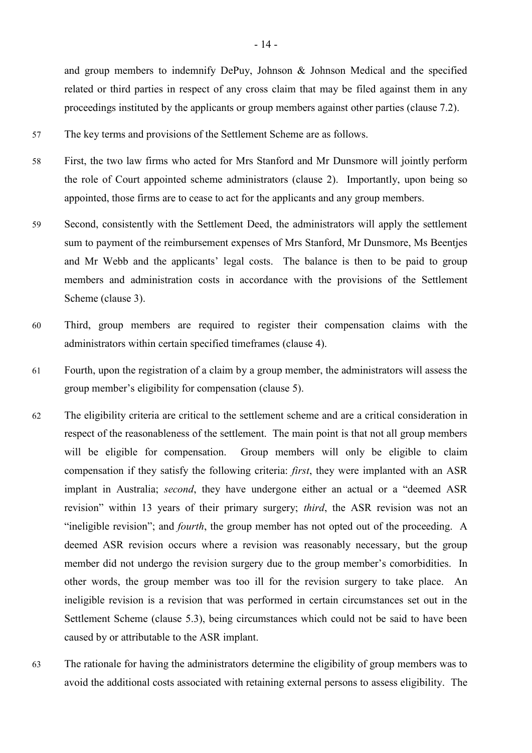and group members to indemnify DePuy, Johnson & Johnson Medical and the specified related or third parties in respect of any cross claim that may be filed against them in any proceedings instituted by the applicants or group members against other parties (clause 7.2).

- 57 The key terms and provisions of the Settlement Scheme are as follows.
- 58 First, the two law firms who acted for Mrs Stanford and Mr Dunsmore will jointly perform the role of Court appointed scheme administrators (clause 2). Importantly, upon being so appointed, those firms are to cease to act for the applicants and any group members.
- 59 Second, consistently with the Settlement Deed, the administrators will apply the settlement sum to payment of the reimbursement expenses of Mrs Stanford, Mr Dunsmore, Ms Beentjes and Mr Webb and the applicants' legal costs. The balance is then to be paid to group members and administration costs in accordance with the provisions of the Settlement Scheme (clause 3).
- 60 Third, group members are required to register their compensation claims with the administrators within certain specified timeframes (clause 4).
- 61 Fourth, upon the registration of a claim by a group member, the administrators will assess the group member's eligibility for compensation (clause 5).
- 62 The eligibility criteria are critical to the settlement scheme and are a critical consideration in respect of the reasonableness of the settlement. The main point is that not all group members will be eligible for compensation. Group members will only be eligible to claim compensation if they satisfy the following criteria: *first*, they were implanted with an ASR implant in Australia; *second*, they have undergone either an actual or a "deemed ASR revision" within 13 years of their primary surgery; *third*, the ASR revision was not an "ineligible revision"; and *fourth*, the group member has not opted out of the proceeding. A deemed ASR revision occurs where a revision was reasonably necessary, but the group member did not undergo the revision surgery due to the group member's comorbidities. In other words, the group member was too ill for the revision surgery to take place. An ineligible revision is a revision that was performed in certain circumstances set out in the Settlement Scheme (clause 5.3), being circumstances which could not be said to have been caused by or attributable to the ASR implant.
- 63 The rationale for having the administrators determine the eligibility of group members was to avoid the additional costs associated with retaining external persons to assess eligibility. The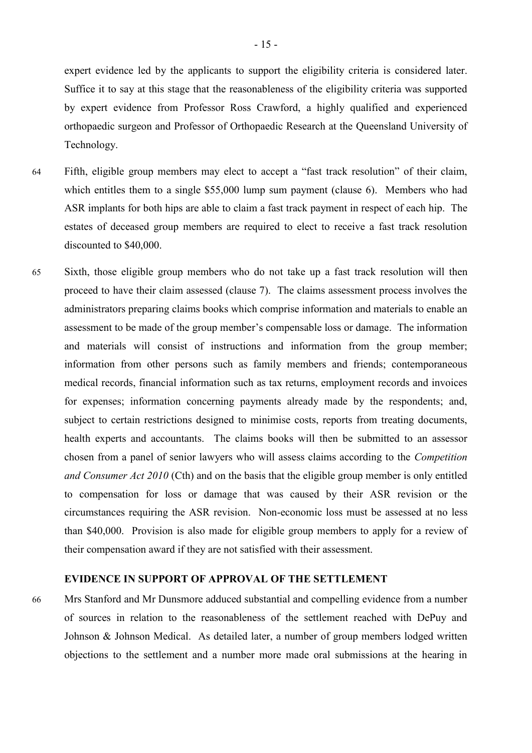expert evidence led by the applicants to support the eligibility criteria is considered later. Suffice it to say at this stage that the reasonableness of the eligibility criteria was supported by expert evidence from Professor Ross Crawford, a highly qualified and experienced orthopaedic surgeon and Professor of Orthopaedic Research at the Queensland University of Technology.

- 64 Fifth, eligible group members may elect to accept a "fast track resolution" of their claim, which entitles them to a single \$55,000 lump sum payment (clause 6). Members who had ASR implants for both hips are able to claim a fast track payment in respect of each hip. The estates of deceased group members are required to elect to receive a fast track resolution discounted to \$40,000.
- 65 Sixth, those eligible group members who do not take up a fast track resolution will then proceed to have their claim assessed (clause 7). The claims assessment process involves the administrators preparing claims books which comprise information and materials to enable an assessment to be made of the group member's compensable loss or damage. The information and materials will consist of instructions and information from the group member; information from other persons such as family members and friends; contemporaneous medical records, financial information such as tax returns, employment records and invoices for expenses; information concerning payments already made by the respondents; and, subject to certain restrictions designed to minimise costs, reports from treating documents, health experts and accountants. The claims books will then be submitted to an assessor chosen from a panel of senior lawyers who will assess claims according to the *Competition and Consumer Act 2010* (Cth) and on the basis that the eligible group member is only entitled to compensation for loss or damage that was caused by their ASR revision or the circumstances requiring the ASR revision. Non-economic loss must be assessed at no less than \$40,000. Provision is also made for eligible group members to apply for a review of their compensation award if they are not satisfied with their assessment.

# **EVIDENCE IN SUPPORT OF APPROVAL OF THE SETTLEMENT**

66 Mrs Stanford and Mr Dunsmore adduced substantial and compelling evidence from a number of sources in relation to the reasonableness of the settlement reached with DePuy and Johnson & Johnson Medical. As detailed later, a number of group members lodged written objections to the settlement and a number more made oral submissions at the hearing in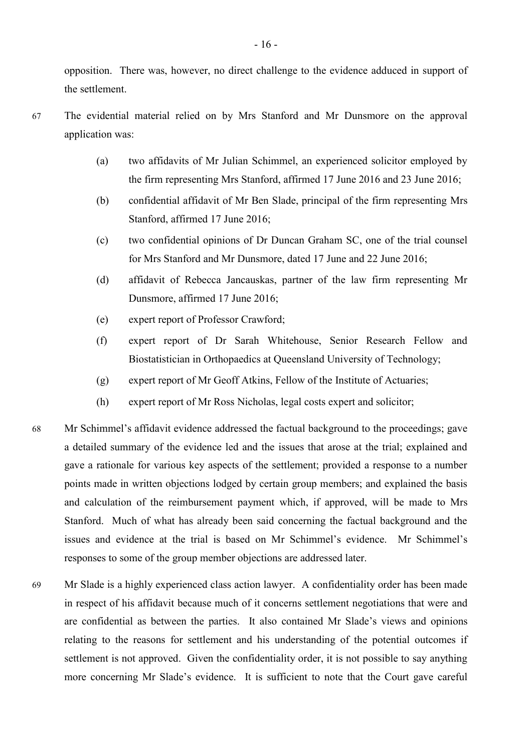opposition. There was, however, no direct challenge to the evidence adduced in support of the settlement.

- 67 The evidential material relied on by Mrs Stanford and Mr Dunsmore on the approval application was:
	- (a) two affidavits of Mr Julian Schimmel, an experienced solicitor employed by the firm representing Mrs Stanford, affirmed 17 June 2016 and 23 June 2016;
	- (b) confidential affidavit of Mr Ben Slade, principal of the firm representing Mrs Stanford, affirmed 17 June 2016;
	- (c) two confidential opinions of Dr Duncan Graham SC, one of the trial counsel for Mrs Stanford and Mr Dunsmore, dated 17 June and 22 June 2016;
	- (d) affidavit of Rebecca Jancauskas, partner of the law firm representing Mr Dunsmore, affirmed 17 June 2016;
	- (e) expert report of Professor Crawford;
	- (f) expert report of Dr Sarah Whitehouse, Senior Research Fellow and Biostatistician in Orthopaedics at Queensland University of Technology;
	- (g) expert report of Mr Geoff Atkins, Fellow of the Institute of Actuaries;
	- (h) expert report of Mr Ross Nicholas, legal costs expert and solicitor;
- 68 Mr Schimmel's affidavit evidence addressed the factual background to the proceedings; gave a detailed summary of the evidence led and the issues that arose at the trial; explained and gave a rationale for various key aspects of the settlement; provided a response to a number points made in written objections lodged by certain group members; and explained the basis and calculation of the reimbursement payment which, if approved, will be made to Mrs Stanford. Much of what has already been said concerning the factual background and the issues and evidence at the trial is based on Mr Schimmel's evidence. Mr Schimmel's responses to some of the group member objections are addressed later.
- 69 Mr Slade is a highly experienced class action lawyer. A confidentiality order has been made in respect of his affidavit because much of it concerns settlement negotiations that were and are confidential as between the parties. It also contained Mr Slade's views and opinions relating to the reasons for settlement and his understanding of the potential outcomes if settlement is not approved. Given the confidentiality order, it is not possible to say anything more concerning Mr Slade's evidence. It is sufficient to note that the Court gave careful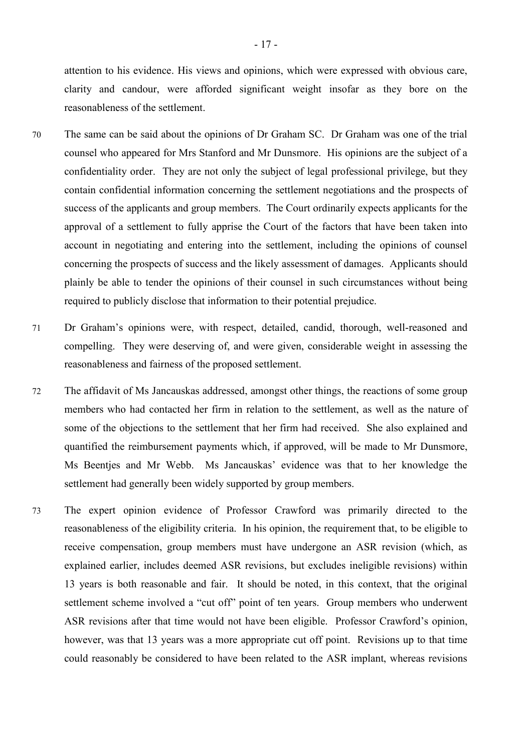attention to his evidence. His views and opinions, which were expressed with obvious care, clarity and candour, were afforded significant weight insofar as they bore on the reasonableness of the settlement.

- 70 The same can be said about the opinions of Dr Graham SC. Dr Graham was one of the trial counsel who appeared for Mrs Stanford and Mr Dunsmore. His opinions are the subject of a confidentiality order. They are not only the subject of legal professional privilege, but they contain confidential information concerning the settlement negotiations and the prospects of success of the applicants and group members. The Court ordinarily expects applicants for the approval of a settlement to fully apprise the Court of the factors that have been taken into account in negotiating and entering into the settlement, including the opinions of counsel concerning the prospects of success and the likely assessment of damages. Applicants should plainly be able to tender the opinions of their counsel in such circumstances without being required to publicly disclose that information to their potential prejudice.
- 71 Dr Graham's opinions were, with respect, detailed, candid, thorough, well-reasoned and compelling. They were deserving of, and were given, considerable weight in assessing the reasonableness and fairness of the proposed settlement.
- 72 The affidavit of Ms Jancauskas addressed, amongst other things, the reactions of some group members who had contacted her firm in relation to the settlement, as well as the nature of some of the objections to the settlement that her firm had received. She also explained and quantified the reimbursement payments which, if approved, will be made to Mr Dunsmore, Ms Beentjes and Mr Webb. Ms Jancauskas' evidence was that to her knowledge the settlement had generally been widely supported by group members.
- 73 The expert opinion evidence of Professor Crawford was primarily directed to the reasonableness of the eligibility criteria. In his opinion, the requirement that, to be eligible to receive compensation, group members must have undergone an ASR revision (which, as explained earlier, includes deemed ASR revisions, but excludes ineligible revisions) within 13 years is both reasonable and fair. It should be noted, in this context, that the original settlement scheme involved a "cut off" point of ten years. Group members who underwent ASR revisions after that time would not have been eligible. Professor Crawford's opinion, however, was that 13 years was a more appropriate cut off point. Revisions up to that time could reasonably be considered to have been related to the ASR implant, whereas revisions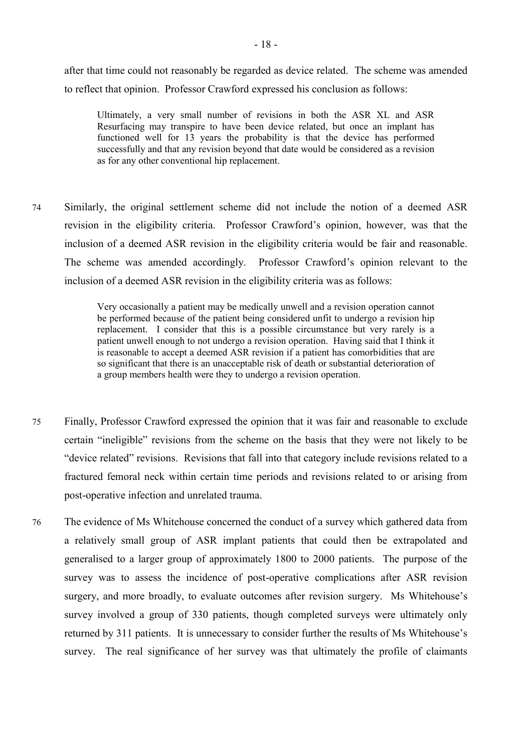after that time could not reasonably be regarded as device related. The scheme was amended to reflect that opinion. Professor Crawford expressed his conclusion as follows:

Ultimately, a very small number of revisions in both the ASR XL and ASR Resurfacing may transpire to have been device related, but once an implant has functioned well for 13 years the probability is that the device has performed successfully and that any revision beyond that date would be considered as a revision as for any other conventional hip replacement.

74 Similarly, the original settlement scheme did not include the notion of a deemed ASR revision in the eligibility criteria. Professor Crawford's opinion, however, was that the inclusion of a deemed ASR revision in the eligibility criteria would be fair and reasonable. The scheme was amended accordingly. Professor Crawford's opinion relevant to the inclusion of a deemed ASR revision in the eligibility criteria was as follows:

> Very occasionally a patient may be medically unwell and a revision operation cannot be performed because of the patient being considered unfit to undergo a revision hip replacement. I consider that this is a possible circumstance but very rarely is a patient unwell enough to not undergo a revision operation. Having said that I think it is reasonable to accept a deemed ASR revision if a patient has comorbidities that are so significant that there is an unacceptable risk of death or substantial deterioration of a group members health were they to undergo a revision operation.

- 75 Finally, Professor Crawford expressed the opinion that it was fair and reasonable to exclude certain "ineligible" revisions from the scheme on the basis that they were not likely to be "device related" revisions. Revisions that fall into that category include revisions related to a fractured femoral neck within certain time periods and revisions related to or arising from post-operative infection and unrelated trauma.
- 76 The evidence of Ms Whitehouse concerned the conduct of a survey which gathered data from a relatively small group of ASR implant patients that could then be extrapolated and generalised to a larger group of approximately 1800 to 2000 patients. The purpose of the survey was to assess the incidence of post-operative complications after ASR revision surgery, and more broadly, to evaluate outcomes after revision surgery. Ms Whitehouse's survey involved a group of 330 patients, though completed surveys were ultimately only returned by 311 patients. It is unnecessary to consider further the results of Ms Whitehouse's survey. The real significance of her survey was that ultimately the profile of claimants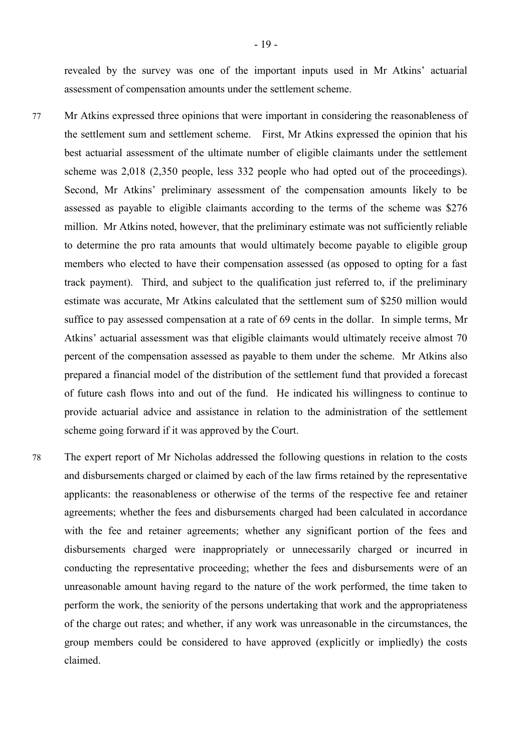revealed by the survey was one of the important inputs used in Mr Atkins' actuarial assessment of compensation amounts under the settlement scheme.

- 77 Mr Atkins expressed three opinions that were important in considering the reasonableness of the settlement sum and settlement scheme. First, Mr Atkins expressed the opinion that his best actuarial assessment of the ultimate number of eligible claimants under the settlement scheme was 2,018 (2,350 people, less 332 people who had opted out of the proceedings). Second, Mr Atkins' preliminary assessment of the compensation amounts likely to be assessed as payable to eligible claimants according to the terms of the scheme was \$276 million. Mr Atkins noted, however, that the preliminary estimate was not sufficiently reliable to determine the pro rata amounts that would ultimately become payable to eligible group members who elected to have their compensation assessed (as opposed to opting for a fast track payment). Third, and subject to the qualification just referred to, if the preliminary estimate was accurate, Mr Atkins calculated that the settlement sum of \$250 million would suffice to pay assessed compensation at a rate of 69 cents in the dollar. In simple terms, Mr Atkins' actuarial assessment was that eligible claimants would ultimately receive almost 70 percent of the compensation assessed as payable to them under the scheme. Mr Atkins also prepared a financial model of the distribution of the settlement fund that provided a forecast of future cash flows into and out of the fund. He indicated his willingness to continue to provide actuarial advice and assistance in relation to the administration of the settlement scheme going forward if it was approved by the Court.
- 78 The expert report of Mr Nicholas addressed the following questions in relation to the costs and disbursements charged or claimed by each of the law firms retained by the representative applicants: the reasonableness or otherwise of the terms of the respective fee and retainer agreements; whether the fees and disbursements charged had been calculated in accordance with the fee and retainer agreements; whether any significant portion of the fees and disbursements charged were inappropriately or unnecessarily charged or incurred in conducting the representative proceeding; whether the fees and disbursements were of an unreasonable amount having regard to the nature of the work performed, the time taken to perform the work, the seniority of the persons undertaking that work and the appropriateness of the charge out rates; and whether, if any work was unreasonable in the circumstances, the group members could be considered to have approved (explicitly or impliedly) the costs claimed.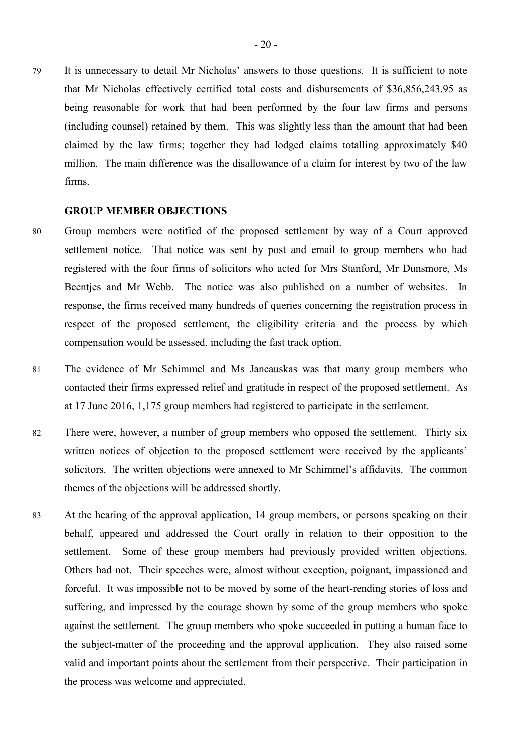79 It is unnecessary to detail Mr Nicholas' answers to those questions. It is sufficient to note that Mr Nicholas effectively certified total costs and disbursements of \$36,856,243.95 as being reasonable for work that had been performed by the four law firms and persons (including counsel) retained by them. This was slightly less than the amount that had been claimed by the law firms; together they had lodged claims totalling approximately \$40 million. The main difference was the disallowance of a claim for interest by two of the law firms.

#### **GROUP MEMBER OBJECTIONS**

- 80 Group members were notified of the proposed settlement by way of a Court approved settlement notice. That notice was sent by post and email to group members who had registered with the four firms of solicitors who acted for Mrs Stanford, Mr Dunsmore, Ms Beentjes and Mr Webb. The notice was also published on a number of websites. In response, the firms received many hundreds of queries concerning the registration process in respect of the proposed settlement, the eligibility criteria and the process by which compensation would be assessed, including the fast track option.
- 81 The evidence of Mr Schimmel and Ms Jancauskas was that many group members who contacted their firms expressed relief and gratitude in respect of the proposed settlement. As at 17 June 2016, 1,175 group members had registered to participate in the settlement.
- 82 There were, however, a number of group members who opposed the settlement. Thirty six written notices of objection to the proposed settlement were received by the applicants' solicitors. The written objections were annexed to Mr Schimmel's affidavits. The common themes of the objections will be addressed shortly.
- 83 At the hearing of the approval application, 14 group members, or persons speaking on their behalf, appeared and addressed the Court orally in relation to their opposition to the settlement. Some of these group members had previously provided written objections. Others had not. Their speeches were, almost without exception, poignant, impassioned and forceful. It was impossible not to be moved by some of the heart-rending stories of loss and suffering, and impressed by the courage shown by some of the group members who spoke against the settlement. The group members who spoke succeeded in putting a human face to the subject-matter of the proceeding and the approval application. They also raised some valid and important points about the settlement from their perspective. Their participation in the process was welcome and appreciated.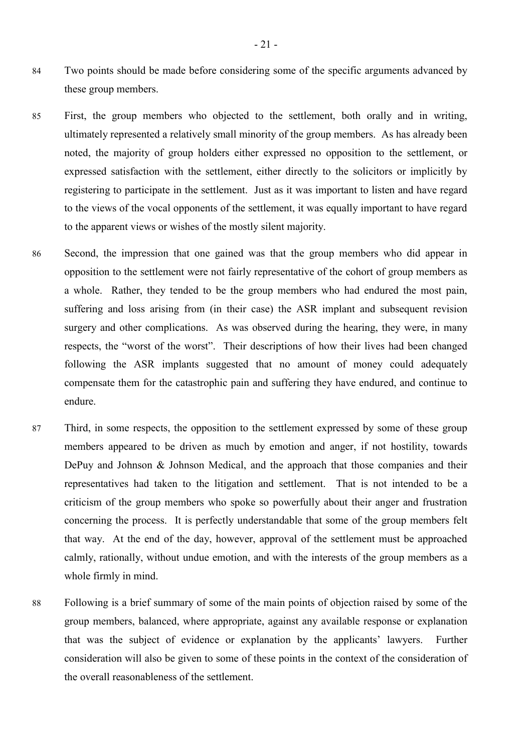- 84 Two points should be made before considering some of the specific arguments advanced by these group members.
- 85 First, the group members who objected to the settlement, both orally and in writing, ultimately represented a relatively small minority of the group members. As has already been noted, the majority of group holders either expressed no opposition to the settlement, or expressed satisfaction with the settlement, either directly to the solicitors or implicitly by registering to participate in the settlement. Just as it was important to listen and have regard to the views of the vocal opponents of the settlement, it was equally important to have regard to the apparent views or wishes of the mostly silent majority.
- 86 Second, the impression that one gained was that the group members who did appear in opposition to the settlement were not fairly representative of the cohort of group members as a whole. Rather, they tended to be the group members who had endured the most pain, suffering and loss arising from (in their case) the ASR implant and subsequent revision surgery and other complications. As was observed during the hearing, they were, in many respects, the "worst of the worst". Their descriptions of how their lives had been changed following the ASR implants suggested that no amount of money could adequately compensate them for the catastrophic pain and suffering they have endured, and continue to endure.
- 87 Third, in some respects, the opposition to the settlement expressed by some of these group members appeared to be driven as much by emotion and anger, if not hostility, towards DePuy and Johnson & Johnson Medical, and the approach that those companies and their representatives had taken to the litigation and settlement. That is not intended to be a criticism of the group members who spoke so powerfully about their anger and frustration concerning the process. It is perfectly understandable that some of the group members felt that way. At the end of the day, however, approval of the settlement must be approached calmly, rationally, without undue emotion, and with the interests of the group members as a whole firmly in mind.
- 88 Following is a brief summary of some of the main points of objection raised by some of the group members, balanced, where appropriate, against any available response or explanation that was the subject of evidence or explanation by the applicants' lawyers. Further consideration will also be given to some of these points in the context of the consideration of the overall reasonableness of the settlement.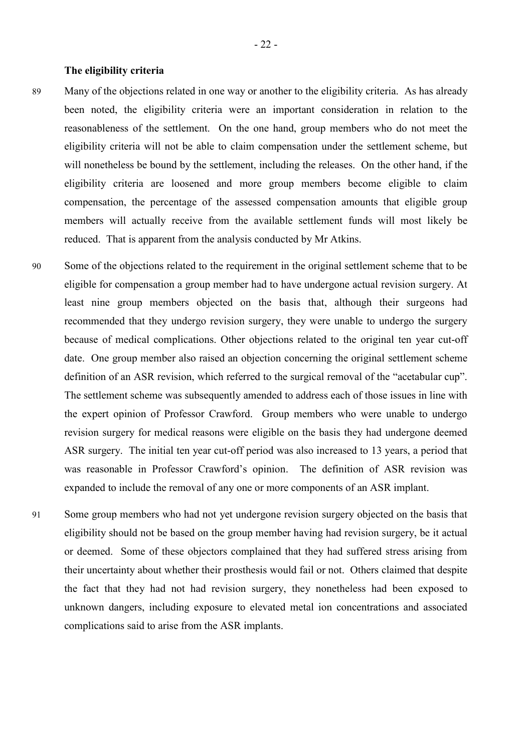#### **The eligibility criteria**

- 89 Many of the objections related in one way or another to the eligibility criteria. As has already been noted, the eligibility criteria were an important consideration in relation to the reasonableness of the settlement. On the one hand, group members who do not meet the eligibility criteria will not be able to claim compensation under the settlement scheme, but will nonetheless be bound by the settlement, including the releases. On the other hand, if the eligibility criteria are loosened and more group members become eligible to claim compensation, the percentage of the assessed compensation amounts that eligible group members will actually receive from the available settlement funds will most likely be reduced. That is apparent from the analysis conducted by Mr Atkins.
- 90 Some of the objections related to the requirement in the original settlement scheme that to be eligible for compensation a group member had to have undergone actual revision surgery. At least nine group members objected on the basis that, although their surgeons had recommended that they undergo revision surgery, they were unable to undergo the surgery because of medical complications. Other objections related to the original ten year cut-off date. One group member also raised an objection concerning the original settlement scheme definition of an ASR revision, which referred to the surgical removal of the "acetabular cup". The settlement scheme was subsequently amended to address each of those issues in line with the expert opinion of Professor Crawford. Group members who were unable to undergo revision surgery for medical reasons were eligible on the basis they had undergone deemed ASR surgery. The initial ten year cut-off period was also increased to 13 years, a period that was reasonable in Professor Crawford's opinion. The definition of ASR revision was expanded to include the removal of any one or more components of an ASR implant.
- 91 Some group members who had not yet undergone revision surgery objected on the basis that eligibility should not be based on the group member having had revision surgery, be it actual or deemed. Some of these objectors complained that they had suffered stress arising from their uncertainty about whether their prosthesis would fail or not. Others claimed that despite the fact that they had not had revision surgery, they nonetheless had been exposed to unknown dangers, including exposure to elevated metal ion concentrations and associated complications said to arise from the ASR implants.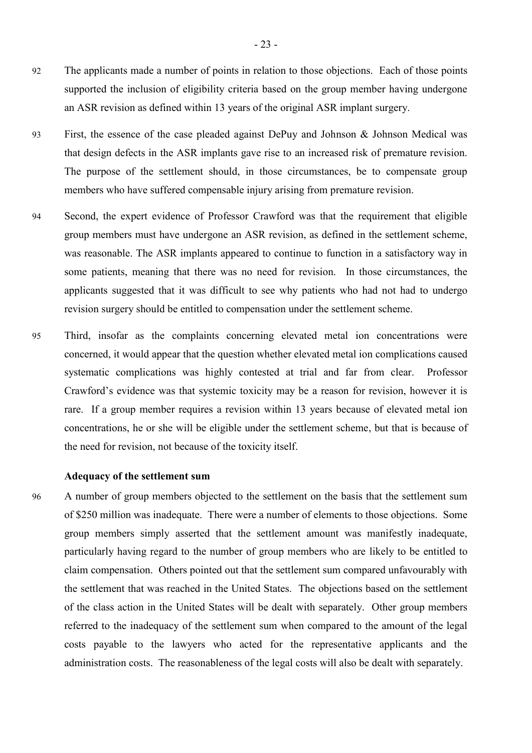- 92 The applicants made a number of points in relation to those objections. Each of those points supported the inclusion of eligibility criteria based on the group member having undergone an ASR revision as defined within 13 years of the original ASR implant surgery.
- 93 First, the essence of the case pleaded against DePuy and Johnson & Johnson Medical was that design defects in the ASR implants gave rise to an increased risk of premature revision. The purpose of the settlement should, in those circumstances, be to compensate group members who have suffered compensable injury arising from premature revision.
- 94 Second, the expert evidence of Professor Crawford was that the requirement that eligible group members must have undergone an ASR revision, as defined in the settlement scheme, was reasonable. The ASR implants appeared to continue to function in a satisfactory way in some patients, meaning that there was no need for revision. In those circumstances, the applicants suggested that it was difficult to see why patients who had not had to undergo revision surgery should be entitled to compensation under the settlement scheme.
- 95 Third, insofar as the complaints concerning elevated metal ion concentrations were concerned, it would appear that the question whether elevated metal ion complications caused systematic complications was highly contested at trial and far from clear. Professor Crawford's evidence was that systemic toxicity may be a reason for revision, however it is rare. If a group member requires a revision within 13 years because of elevated metal ion concentrations, he or she will be eligible under the settlement scheme, but that is because of the need for revision, not because of the toxicity itself.

#### **Adequacy of the settlement sum**

96 A number of group members objected to the settlement on the basis that the settlement sum of \$250 million was inadequate. There were a number of elements to those objections. Some group members simply asserted that the settlement amount was manifestly inadequate, particularly having regard to the number of group members who are likely to be entitled to claim compensation. Others pointed out that the settlement sum compared unfavourably with the settlement that was reached in the United States. The objections based on the settlement of the class action in the United States will be dealt with separately. Other group members referred to the inadequacy of the settlement sum when compared to the amount of the legal costs payable to the lawyers who acted for the representative applicants and the administration costs. The reasonableness of the legal costs will also be dealt with separately.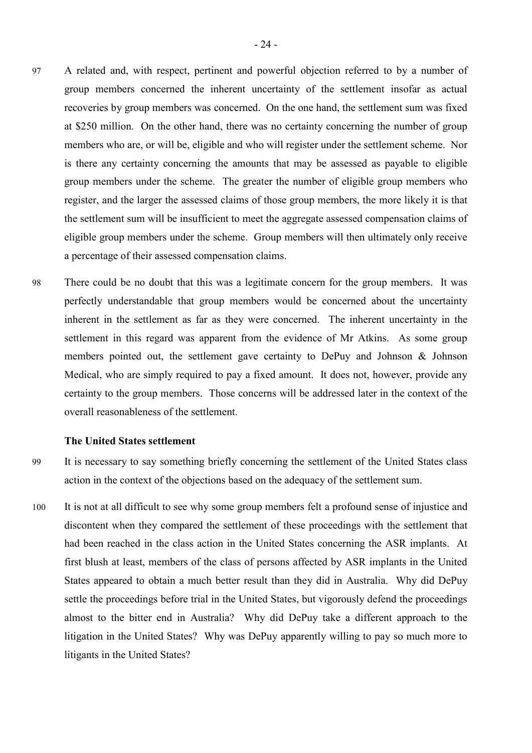- 97 A related and, with respect, pertinent and powerful objection referred to by a number of group members concerned the inherent uncertainty of the settlement insofar as actual recoveries by group members was concerned. On the one hand, the settlement sum was fixed at \$250 million. On the other hand, there was no certainty concerning the number of group members who are, or will be, eligible and who will register under the settlement scheme. Nor is there any certainty concerning the amounts that may be assessed as payable to eligible group members under the scheme. The greater the number of eligible group members who register, and the larger the assessed claims of those group members, the more likely it is that the settlement sum will be insufficient to meet the aggregate assessed compensation claims of eligible group members under the scheme. Group members will then ultimately only receive a percentage of their assessed compensation claims.
- 98 There could be no doubt that this was a legitimate concern for the group members. It was perfectly understandable that group members would be concerned about the uncertainty inherent in the settlement as far as they were concerned. The inherent uncertainty in the settlement in this regard was apparent from the evidence of Mr Atkins. As some group members pointed out, the settlement gave certainty to DePuy and Johnson & Johnson Medical, who are simply required to pay a fixed amount. It does not, however, provide any certainty to the group members. Those concerns will be addressed later in the context of the overall reasonableness of the settlement.

#### **The United States settlement**

- 99 It is necessary to say something briefly concerning the settlement of the United States class action in the context of the objections based on the adequacy of the settlement sum.
- 100 It is not at all difficult to see why some group members felt a profound sense of injustice and discontent when they compared the settlement of these proceedings with the settlement that had been reached in the class action in the United States concerning the ASR implants. At first blush at least, members of the class of persons affected by ASR implants in the United States appeared to obtain a much better result than they did in Australia. Why did DePuy settle the proceedings before trial in the United States, but vigorously defend the proceedings almost to the bitter end in Australia? Why did DePuy take a different approach to the litigation in the United States? Why was DePuy apparently willing to pay so much more to litigants in the United States?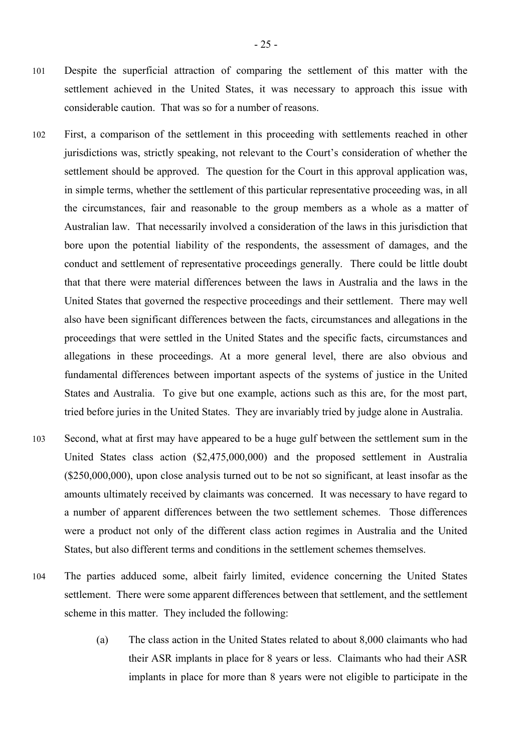- 101 Despite the superficial attraction of comparing the settlement of this matter with the settlement achieved in the United States, it was necessary to approach this issue with considerable caution. That was so for a number of reasons.
- 102 First, a comparison of the settlement in this proceeding with settlements reached in other jurisdictions was, strictly speaking, not relevant to the Court's consideration of whether the settlement should be approved. The question for the Court in this approval application was, in simple terms, whether the settlement of this particular representative proceeding was, in all the circumstances, fair and reasonable to the group members as a whole as a matter of Australian law. That necessarily involved a consideration of the laws in this jurisdiction that bore upon the potential liability of the respondents, the assessment of damages, and the conduct and settlement of representative proceedings generally. There could be little doubt that that there were material differences between the laws in Australia and the laws in the United States that governed the respective proceedings and their settlement. There may well also have been significant differences between the facts, circumstances and allegations in the proceedings that were settled in the United States and the specific facts, circumstances and allegations in these proceedings. At a more general level, there are also obvious and fundamental differences between important aspects of the systems of justice in the United States and Australia. To give but one example, actions such as this are, for the most part, tried before juries in the United States. They are invariably tried by judge alone in Australia.
- 103 Second, what at first may have appeared to be a huge gulf between the settlement sum in the United States class action (\$2,475,000,000) and the proposed settlement in Australia (\$250,000,000), upon close analysis turned out to be not so significant, at least insofar as the amounts ultimately received by claimants was concerned. It was necessary to have regard to a number of apparent differences between the two settlement schemes. Those differences were a product not only of the different class action regimes in Australia and the United States, but also different terms and conditions in the settlement schemes themselves.
- 104 The parties adduced some, albeit fairly limited, evidence concerning the United States settlement. There were some apparent differences between that settlement, and the settlement scheme in this matter. They included the following:
	- (a) The class action in the United States related to about 8,000 claimants who had their ASR implants in place for 8 years or less. Claimants who had their ASR implants in place for more than 8 years were not eligible to participate in the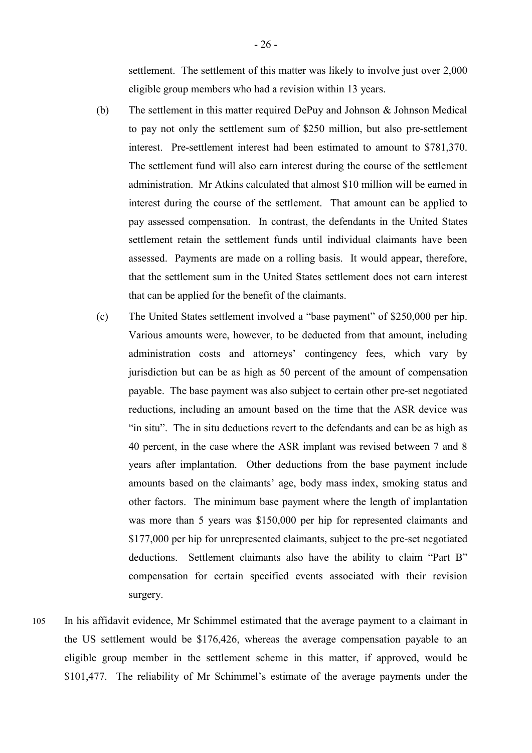settlement. The settlement of this matter was likely to involve just over 2,000 eligible group members who had a revision within 13 years.

- (b) The settlement in this matter required DePuy and Johnson & Johnson Medical to pay not only the settlement sum of \$250 million, but also pre-settlement interest. Pre-settlement interest had been estimated to amount to \$781,370. The settlement fund will also earn interest during the course of the settlement administration. Mr Atkins calculated that almost \$10 million will be earned in interest during the course of the settlement. That amount can be applied to pay assessed compensation. In contrast, the defendants in the United States settlement retain the settlement funds until individual claimants have been assessed. Payments are made on a rolling basis. It would appear, therefore, that the settlement sum in the United States settlement does not earn interest that can be applied for the benefit of the claimants.
- (c) The United States settlement involved a "base payment" of \$250,000 per hip. Various amounts were, however, to be deducted from that amount, including administration costs and attorneys' contingency fees, which vary by jurisdiction but can be as high as 50 percent of the amount of compensation payable. The base payment was also subject to certain other pre-set negotiated reductions, including an amount based on the time that the ASR device was "in situ". The in situ deductions revert to the defendants and can be as high as 40 percent, in the case where the ASR implant was revised between 7 and 8 years after implantation. Other deductions from the base payment include amounts based on the claimants' age, body mass index, smoking status and other factors. The minimum base payment where the length of implantation was more than 5 years was \$150,000 per hip for represented claimants and \$177,000 per hip for unrepresented claimants, subject to the pre-set negotiated deductions. Settlement claimants also have the ability to claim "Part B" compensation for certain specified events associated with their revision surgery.
- 105 In his affidavit evidence, Mr Schimmel estimated that the average payment to a claimant in the US settlement would be \$176,426, whereas the average compensation payable to an eligible group member in the settlement scheme in this matter, if approved, would be \$101,477. The reliability of Mr Schimmel's estimate of the average payments under the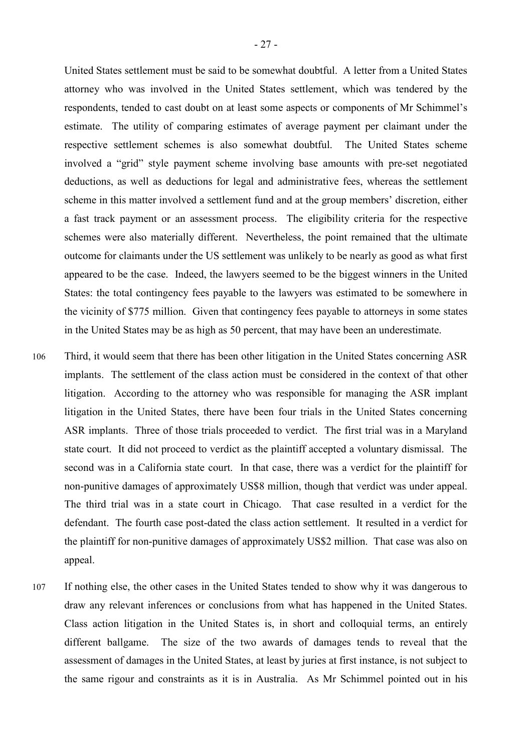United States settlement must be said to be somewhat doubtful. A letter from a United States attorney who was involved in the United States settlement, which was tendered by the respondents, tended to cast doubt on at least some aspects or components of Mr Schimmel's estimate. The utility of comparing estimates of average payment per claimant under the respective settlement schemes is also somewhat doubtful. The United States scheme involved a "grid" style payment scheme involving base amounts with pre-set negotiated deductions, as well as deductions for legal and administrative fees, whereas the settlement scheme in this matter involved a settlement fund and at the group members' discretion, either a fast track payment or an assessment process. The eligibility criteria for the respective schemes were also materially different. Nevertheless, the point remained that the ultimate outcome for claimants under the US settlement was unlikely to be nearly as good as what first appeared to be the case. Indeed, the lawyers seemed to be the biggest winners in the United States: the total contingency fees payable to the lawyers was estimated to be somewhere in the vicinity of \$775 million. Given that contingency fees payable to attorneys in some states in the United States may be as high as 50 percent, that may have been an underestimate.

- 106 Third, it would seem that there has been other litigation in the United States concerning ASR implants. The settlement of the class action must be considered in the context of that other litigation. According to the attorney who was responsible for managing the ASR implant litigation in the United States, there have been four trials in the United States concerning ASR implants. Three of those trials proceeded to verdict. The first trial was in a Maryland state court. It did not proceed to verdict as the plaintiff accepted a voluntary dismissal. The second was in a California state court. In that case, there was a verdict for the plaintiff for non-punitive damages of approximately US\$8 million, though that verdict was under appeal. The third trial was in a state court in Chicago. That case resulted in a verdict for the defendant. The fourth case post-dated the class action settlement. It resulted in a verdict for the plaintiff for non-punitive damages of approximately US\$2 million. That case was also on appeal.
- 107 If nothing else, the other cases in the United States tended to show why it was dangerous to draw any relevant inferences or conclusions from what has happened in the United States. Class action litigation in the United States is, in short and colloquial terms, an entirely different ballgame. The size of the two awards of damages tends to reveal that the assessment of damages in the United States, at least by juries at first instance, is not subject to the same rigour and constraints as it is in Australia. As Mr Schimmel pointed out in his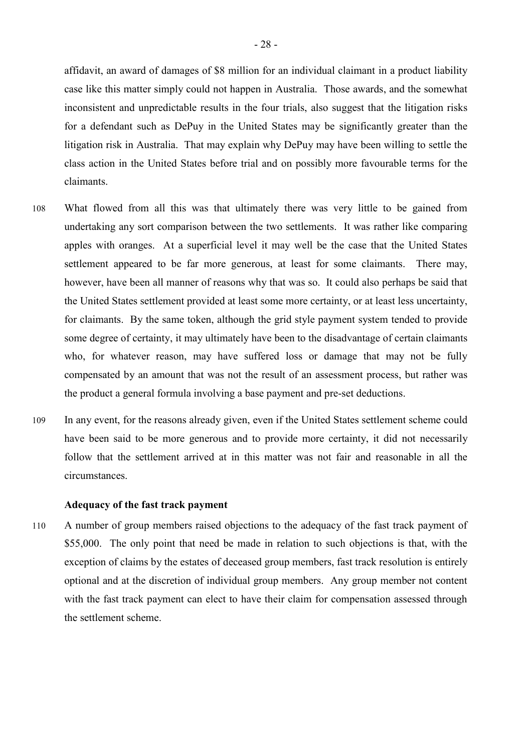affidavit, an award of damages of \$8 million for an individual claimant in a product liability case like this matter simply could not happen in Australia. Those awards, and the somewhat inconsistent and unpredictable results in the four trials, also suggest that the litigation risks for a defendant such as DePuy in the United States may be significantly greater than the litigation risk in Australia. That may explain why DePuy may have been willing to settle the class action in the United States before trial and on possibly more favourable terms for the claimants.

- 108 What flowed from all this was that ultimately there was very little to be gained from undertaking any sort comparison between the two settlements. It was rather like comparing apples with oranges. At a superficial level it may well be the case that the United States settlement appeared to be far more generous, at least for some claimants. There may, however, have been all manner of reasons why that was so. It could also perhaps be said that the United States settlement provided at least some more certainty, or at least less uncertainty, for claimants. By the same token, although the grid style payment system tended to provide some degree of certainty, it may ultimately have been to the disadvantage of certain claimants who, for whatever reason, may have suffered loss or damage that may not be fully compensated by an amount that was not the result of an assessment process, but rather was the product a general formula involving a base payment and pre-set deductions.
- 109 In any event, for the reasons already given, even if the United States settlement scheme could have been said to be more generous and to provide more certainty, it did not necessarily follow that the settlement arrived at in this matter was not fair and reasonable in all the circumstances.

#### **Adequacy of the fast track payment**

110 A number of group members raised objections to the adequacy of the fast track payment of \$55,000. The only point that need be made in relation to such objections is that, with the exception of claims by the estates of deceased group members, fast track resolution is entirely optional and at the discretion of individual group members. Any group member not content with the fast track payment can elect to have their claim for compensation assessed through the settlement scheme.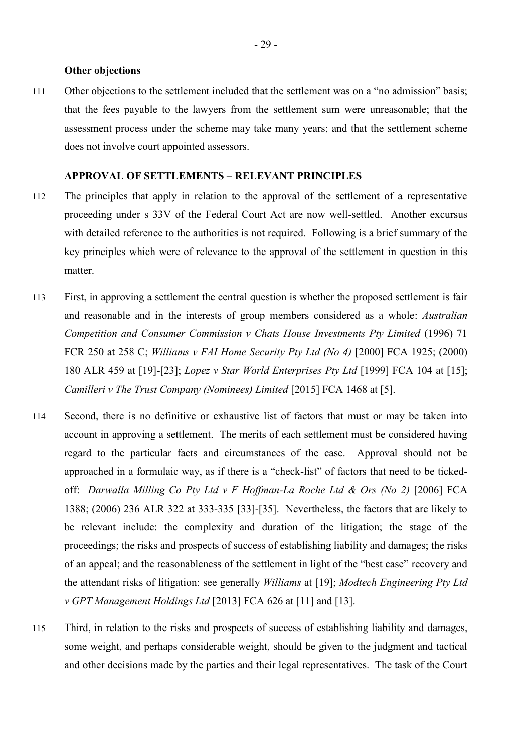#### **Other objections**

111 Other objections to the settlement included that the settlement was on a "no admission" basis; that the fees payable to the lawyers from the settlement sum were unreasonable; that the assessment process under the scheme may take many years; and that the settlement scheme does not involve court appointed assessors.

#### **APPROVAL OF SETTLEMENTS – RELEVANT PRINCIPLES**

- 112 The principles that apply in relation to the approval of the settlement of a representative proceeding under s 33V of the Federal Court Act are now well-settled. Another excursus with detailed reference to the authorities is not required. Following is a brief summary of the key principles which were of relevance to the approval of the settlement in question in this matter.
- 113 First, in approving a settlement the central question is whether the proposed settlement is fair and reasonable and in the interests of group members considered as a whole: *Australian Competition and Consumer Commission v Chats House Investments Pty Limited* (1996) 71 FCR 250 at 258 C; *Williams v FAI Home Security Pty Ltd (No 4)* [2000] FCA 1925; (2000) 180 ALR 459 at [19]-[23]; *Lopez v Star World Enterprises Pty Ltd* [1999] FCA 104 at [15]; *Camilleri v The Trust Company (Nominees) Limited* [2015] FCA 1468 at [5].
- 114 Second, there is no definitive or exhaustive list of factors that must or may be taken into account in approving a settlement. The merits of each settlement must be considered having regard to the particular facts and circumstances of the case. Approval should not be approached in a formulaic way, as if there is a "check-list" of factors that need to be tickedoff: *Darwalla Milling Co Pty Ltd v F Hoffman-La Roche Ltd & Ors (No 2)* [2006] FCA 1388; (2006) 236 ALR 322 at 333-335 [33]-[35]. Nevertheless, the factors that are likely to be relevant include: the complexity and duration of the litigation; the stage of the proceedings; the risks and prospects of success of establishing liability and damages; the risks of an appeal; and the reasonableness of the settlement in light of the "best case" recovery and the attendant risks of litigation: see generally *Williams* at [19]; *Modtech Engineering Pty Ltd v GPT Management Holdings Ltd* [2013] FCA 626 at [11] and [13].
- 115 Third, in relation to the risks and prospects of success of establishing liability and damages, some weight, and perhaps considerable weight, should be given to the judgment and tactical and other decisions made by the parties and their legal representatives. The task of the Court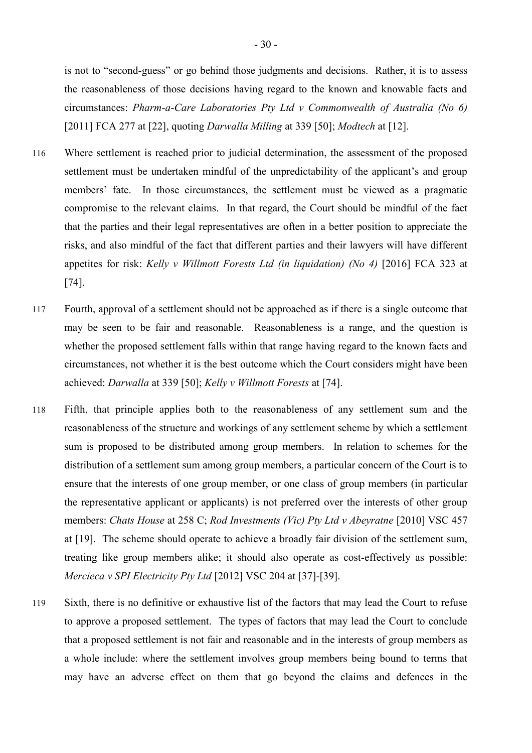is not to "second-guess" or go behind those judgments and decisions. Rather, it is to assess the reasonableness of those decisions having regard to the known and knowable facts and circumstances: *Pharm-a-Care Laboratories Pty Ltd v Commonwealth of Australia (No 6)* [2011] FCA 277 at [22], quoting *Darwalla Milling* at 339 [50]; *Modtech* at [12].

- 116 Where settlement is reached prior to judicial determination, the assessment of the proposed settlement must be undertaken mindful of the unpredictability of the applicant's and group members' fate. In those circumstances, the settlement must be viewed as a pragmatic compromise to the relevant claims. In that regard, the Court should be mindful of the fact that the parties and their legal representatives are often in a better position to appreciate the risks, and also mindful of the fact that different parties and their lawyers will have different appetites for risk: *Kelly v Willmott Forests Ltd (in liquidation) (No 4)* [2016] FCA 323 at [74].
- 117 Fourth, approval of a settlement should not be approached as if there is a single outcome that may be seen to be fair and reasonable. Reasonableness is a range, and the question is whether the proposed settlement falls within that range having regard to the known facts and circumstances, not whether it is the best outcome which the Court considers might have been achieved: *Darwalla* at 339 [50]; *Kelly v Willmott Forests* at [74].
- 118 Fifth, that principle applies both to the reasonableness of any settlement sum and the reasonableness of the structure and workings of any settlement scheme by which a settlement sum is proposed to be distributed among group members. In relation to schemes for the distribution of a settlement sum among group members, a particular concern of the Court is to ensure that the interests of one group member, or one class of group members (in particular the representative applicant or applicants) is not preferred over the interests of other group members: *Chats House* at 258 C; *Rod Investments (Vic) Pty Ltd v Abeyratne* [2010] VSC 457 at [19]. The scheme should operate to achieve a broadly fair division of the settlement sum, treating like group members alike; it should also operate as cost-effectively as possible: *Mercieca v SPI Electricity Pty Ltd* [2012] VSC 204 at [37]-[39].
- 119 Sixth, there is no definitive or exhaustive list of the factors that may lead the Court to refuse to approve a proposed settlement. The types of factors that may lead the Court to conclude that a proposed settlement is not fair and reasonable and in the interests of group members as a whole include: where the settlement involves group members being bound to terms that may have an adverse effect on them that go beyond the claims and defences in the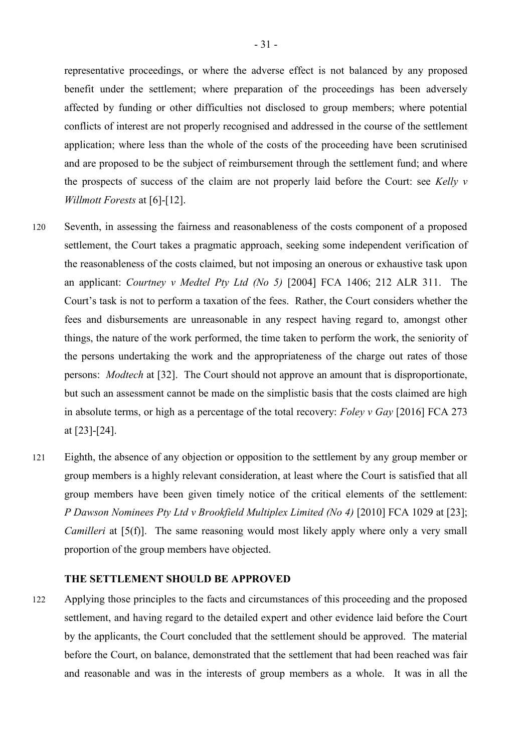representative proceedings, or where the adverse effect is not balanced by any proposed benefit under the settlement; where preparation of the proceedings has been adversely affected by funding or other difficulties not disclosed to group members; where potential conflicts of interest are not properly recognised and addressed in the course of the settlement application; where less than the whole of the costs of the proceeding have been scrutinised and are proposed to be the subject of reimbursement through the settlement fund; and where the prospects of success of the claim are not properly laid before the Court: see *Kelly v Willmott Forests* at [6]-[12].

- 120 Seventh, in assessing the fairness and reasonableness of the costs component of a proposed settlement, the Court takes a pragmatic approach, seeking some independent verification of the reasonableness of the costs claimed, but not imposing an onerous or exhaustive task upon an applicant: *Courtney v Medtel Pty Ltd (No 5)* [2004] FCA 1406; 212 ALR 311. The Court's task is not to perform a taxation of the fees. Rather, the Court considers whether the fees and disbursements are unreasonable in any respect having regard to, amongst other things, the nature of the work performed, the time taken to perform the work, the seniority of the persons undertaking the work and the appropriateness of the charge out rates of those persons: *Modtech* at [32]. The Court should not approve an amount that is disproportionate, but such an assessment cannot be made on the simplistic basis that the costs claimed are high in absolute terms, or high as a percentage of the total recovery: *Foley v Gay* [2016] FCA 273 at [23]-[24].
- 121 Eighth, the absence of any objection or opposition to the settlement by any group member or group members is a highly relevant consideration, at least where the Court is satisfied that all group members have been given timely notice of the critical elements of the settlement: *P Dawson Nominees Pty Ltd v Brookfield Multiplex Limited (No 4)* [2010] FCA 1029 at [23]; *Camilleri* at [5(f)]. The same reasoning would most likely apply where only a very small proportion of the group members have objected.

#### **THE SETTLEMENT SHOULD BE APPROVED**

122 Applying those principles to the facts and circumstances of this proceeding and the proposed settlement, and having regard to the detailed expert and other evidence laid before the Court by the applicants, the Court concluded that the settlement should be approved. The material before the Court, on balance, demonstrated that the settlement that had been reached was fair and reasonable and was in the interests of group members as a whole. It was in all the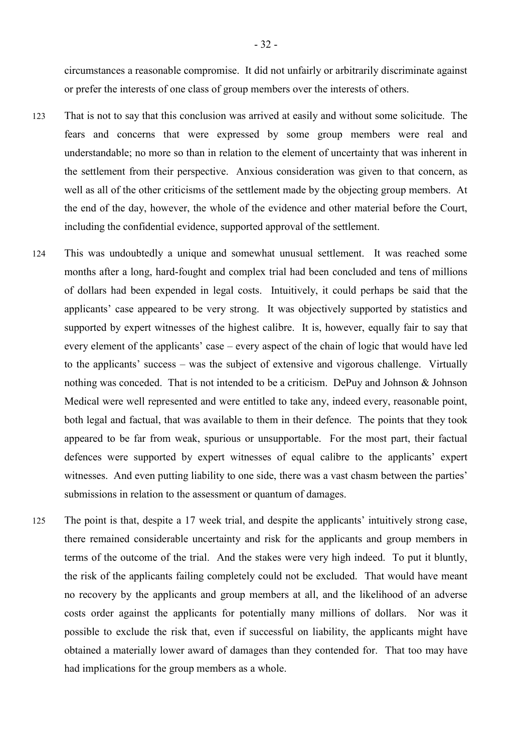circumstances a reasonable compromise. It did not unfairly or arbitrarily discriminate against or prefer the interests of one class of group members over the interests of others.

- 123 That is not to say that this conclusion was arrived at easily and without some solicitude. The fears and concerns that were expressed by some group members were real and understandable; no more so than in relation to the element of uncertainty that was inherent in the settlement from their perspective. Anxious consideration was given to that concern, as well as all of the other criticisms of the settlement made by the objecting group members. At the end of the day, however, the whole of the evidence and other material before the Court, including the confidential evidence, supported approval of the settlement.
- 124 This was undoubtedly a unique and somewhat unusual settlement. It was reached some months after a long, hard-fought and complex trial had been concluded and tens of millions of dollars had been expended in legal costs. Intuitively, it could perhaps be said that the applicants' case appeared to be very strong. It was objectively supported by statistics and supported by expert witnesses of the highest calibre. It is, however, equally fair to say that every element of the applicants' case – every aspect of the chain of logic that would have led to the applicants' success – was the subject of extensive and vigorous challenge. Virtually nothing was conceded. That is not intended to be a criticism. DePuy and Johnson & Johnson Medical were well represented and were entitled to take any, indeed every, reasonable point, both legal and factual, that was available to them in their defence. The points that they took appeared to be far from weak, spurious or unsupportable. For the most part, their factual defences were supported by expert witnesses of equal calibre to the applicants' expert witnesses. And even putting liability to one side, there was a vast chasm between the parties' submissions in relation to the assessment or quantum of damages.
- 125 The point is that, despite a 17 week trial, and despite the applicants' intuitively strong case, there remained considerable uncertainty and risk for the applicants and group members in terms of the outcome of the trial. And the stakes were very high indeed. To put it bluntly, the risk of the applicants failing completely could not be excluded. That would have meant no recovery by the applicants and group members at all, and the likelihood of an adverse costs order against the applicants for potentially many millions of dollars. Nor was it possible to exclude the risk that, even if successful on liability, the applicants might have obtained a materially lower award of damages than they contended for. That too may have had implications for the group members as a whole.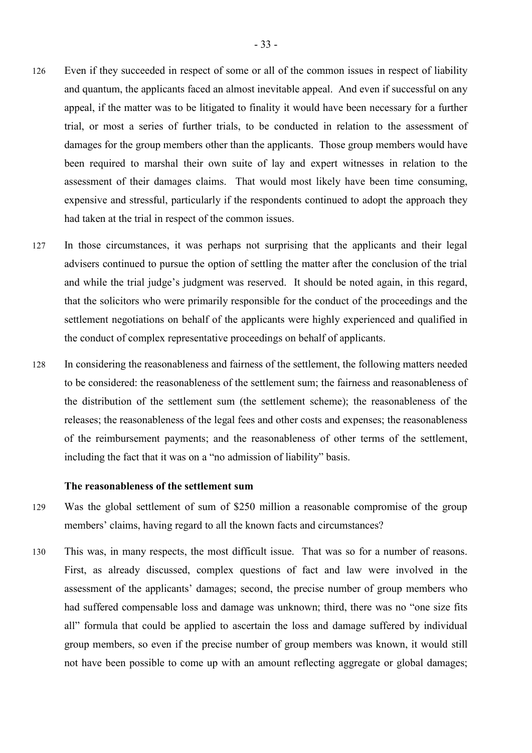- 126 Even if they succeeded in respect of some or all of the common issues in respect of liability and quantum, the applicants faced an almost inevitable appeal. And even if successful on any appeal, if the matter was to be litigated to finality it would have been necessary for a further trial, or most a series of further trials, to be conducted in relation to the assessment of damages for the group members other than the applicants. Those group members would have been required to marshal their own suite of lay and expert witnesses in relation to the assessment of their damages claims. That would most likely have been time consuming, expensive and stressful, particularly if the respondents continued to adopt the approach they had taken at the trial in respect of the common issues.
- 127 In those circumstances, it was perhaps not surprising that the applicants and their legal advisers continued to pursue the option of settling the matter after the conclusion of the trial and while the trial judge's judgment was reserved. It should be noted again, in this regard, that the solicitors who were primarily responsible for the conduct of the proceedings and the settlement negotiations on behalf of the applicants were highly experienced and qualified in the conduct of complex representative proceedings on behalf of applicants.
- 128 In considering the reasonableness and fairness of the settlement, the following matters needed to be considered: the reasonableness of the settlement sum; the fairness and reasonableness of the distribution of the settlement sum (the settlement scheme); the reasonableness of the releases; the reasonableness of the legal fees and other costs and expenses; the reasonableness of the reimbursement payments; and the reasonableness of other terms of the settlement, including the fact that it was on a "no admission of liability" basis.

# **The reasonableness of the settlement sum**

- 129 Was the global settlement of sum of \$250 million a reasonable compromise of the group members' claims, having regard to all the known facts and circumstances?
- 130 This was, in many respects, the most difficult issue. That was so for a number of reasons. First, as already discussed, complex questions of fact and law were involved in the assessment of the applicants' damages; second, the precise number of group members who had suffered compensable loss and damage was unknown; third, there was no "one size fits all" formula that could be applied to ascertain the loss and damage suffered by individual group members, so even if the precise number of group members was known, it would still not have been possible to come up with an amount reflecting aggregate or global damages;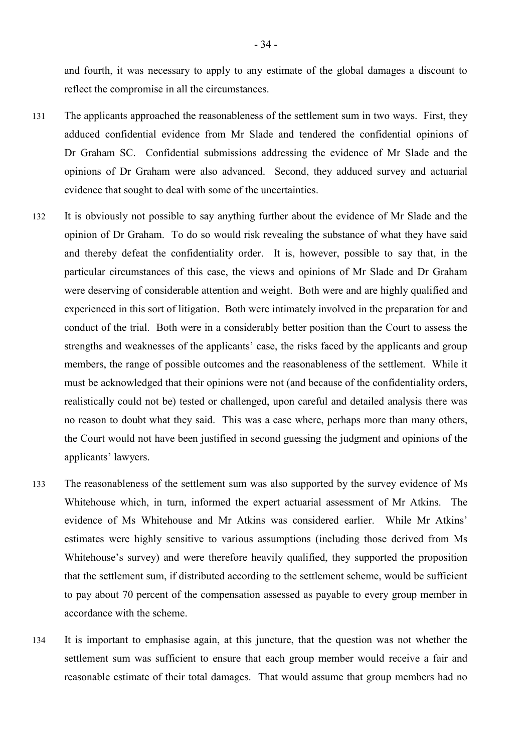and fourth, it was necessary to apply to any estimate of the global damages a discount to reflect the compromise in all the circumstances.

- 131 The applicants approached the reasonableness of the settlement sum in two ways. First, they adduced confidential evidence from Mr Slade and tendered the confidential opinions of Dr Graham SC. Confidential submissions addressing the evidence of Mr Slade and the opinions of Dr Graham were also advanced. Second, they adduced survey and actuarial evidence that sought to deal with some of the uncertainties.
- 132 It is obviously not possible to say anything further about the evidence of Mr Slade and the opinion of Dr Graham. To do so would risk revealing the substance of what they have said and thereby defeat the confidentiality order. It is, however, possible to say that, in the particular circumstances of this case, the views and opinions of Mr Slade and Dr Graham were deserving of considerable attention and weight. Both were and are highly qualified and experienced in this sort of litigation. Both were intimately involved in the preparation for and conduct of the trial. Both were in a considerably better position than the Court to assess the strengths and weaknesses of the applicants' case, the risks faced by the applicants and group members, the range of possible outcomes and the reasonableness of the settlement. While it must be acknowledged that their opinions were not (and because of the confidentiality orders, realistically could not be) tested or challenged, upon careful and detailed analysis there was no reason to doubt what they said. This was a case where, perhaps more than many others, the Court would not have been justified in second guessing the judgment and opinions of the applicants' lawyers.
- 133 The reasonableness of the settlement sum was also supported by the survey evidence of Ms Whitehouse which, in turn, informed the expert actuarial assessment of Mr Atkins. The evidence of Ms Whitehouse and Mr Atkins was considered earlier. While Mr Atkins' estimates were highly sensitive to various assumptions (including those derived from Ms Whitehouse's survey) and were therefore heavily qualified, they supported the proposition that the settlement sum, if distributed according to the settlement scheme, would be sufficient to pay about 70 percent of the compensation assessed as payable to every group member in accordance with the scheme.
- 134 It is important to emphasise again, at this juncture, that the question was not whether the settlement sum was sufficient to ensure that each group member would receive a fair and reasonable estimate of their total damages. That would assume that group members had no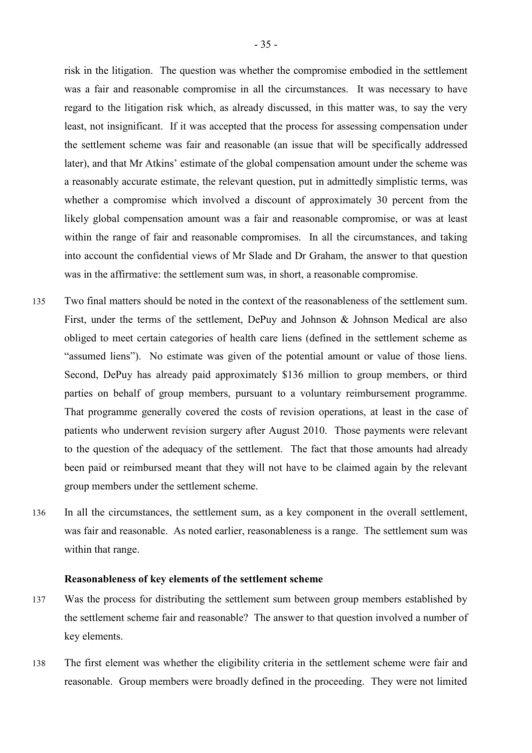risk in the litigation. The question was whether the compromise embodied in the settlement was a fair and reasonable compromise in all the circumstances. It was necessary to have regard to the litigation risk which, as already discussed, in this matter was, to say the very least, not insignificant. If it was accepted that the process for assessing compensation under the settlement scheme was fair and reasonable (an issue that will be specifically addressed later), and that Mr Atkins' estimate of the global compensation amount under the scheme was a reasonably accurate estimate, the relevant question, put in admittedly simplistic terms, was whether a compromise which involved a discount of approximately 30 percent from the likely global compensation amount was a fair and reasonable compromise, or was at least within the range of fair and reasonable compromises. In all the circumstances, and taking into account the confidential views of Mr Slade and Dr Graham, the answer to that question was in the affirmative: the settlement sum was, in short, a reasonable compromise.

- 135 Two final matters should be noted in the context of the reasonableness of the settlement sum. First, under the terms of the settlement, DePuy and Johnson & Johnson Medical are also obliged to meet certain categories of health care liens (defined in the settlement scheme as "assumed liens"). No estimate was given of the potential amount or value of those liens. Second, DePuy has already paid approximately \$136 million to group members, or third parties on behalf of group members, pursuant to a voluntary reimbursement programme. That programme generally covered the costs of revision operations, at least in the case of patients who underwent revision surgery after August 2010. Those payments were relevant to the question of the adequacy of the settlement. The fact that those amounts had already been paid or reimbursed meant that they will not have to be claimed again by the relevant group members under the settlement scheme.
- 136 In all the circumstances, the settlement sum, as a key component in the overall settlement, was fair and reasonable. As noted earlier, reasonableness is a range. The settlement sum was within that range.

#### **Reasonableness of key elements of the settlement scheme**

- 137 Was the process for distributing the settlement sum between group members established by the settlement scheme fair and reasonable? The answer to that question involved a number of key elements.
- 138 The first element was whether the eligibility criteria in the settlement scheme were fair and reasonable. Group members were broadly defined in the proceeding. They were not limited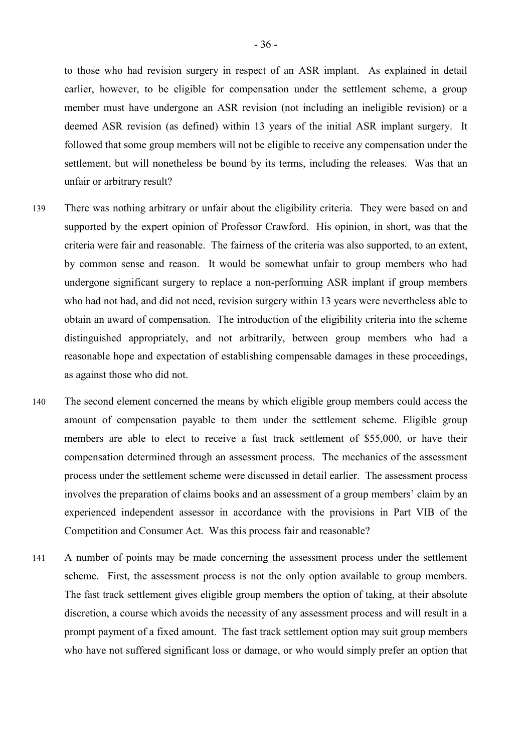to those who had revision surgery in respect of an ASR implant. As explained in detail earlier, however, to be eligible for compensation under the settlement scheme, a group member must have undergone an ASR revision (not including an ineligible revision) or a deemed ASR revision (as defined) within 13 years of the initial ASR implant surgery. It followed that some group members will not be eligible to receive any compensation under the settlement, but will nonetheless be bound by its terms, including the releases. Was that an unfair or arbitrary result?

- 139 There was nothing arbitrary or unfair about the eligibility criteria. They were based on and supported by the expert opinion of Professor Crawford. His opinion, in short, was that the criteria were fair and reasonable. The fairness of the criteria was also supported, to an extent, by common sense and reason. It would be somewhat unfair to group members who had undergone significant surgery to replace a non-performing ASR implant if group members who had not had, and did not need, revision surgery within 13 years were nevertheless able to obtain an award of compensation. The introduction of the eligibility criteria into the scheme distinguished appropriately, and not arbitrarily, between group members who had a reasonable hope and expectation of establishing compensable damages in these proceedings, as against those who did not.
- 140 The second element concerned the means by which eligible group members could access the amount of compensation payable to them under the settlement scheme. Eligible group members are able to elect to receive a fast track settlement of \$55,000, or have their compensation determined through an assessment process. The mechanics of the assessment process under the settlement scheme were discussed in detail earlier. The assessment process involves the preparation of claims books and an assessment of a group members' claim by an experienced independent assessor in accordance with the provisions in Part VIB of the Competition and Consumer Act. Was this process fair and reasonable?
- 141 A number of points may be made concerning the assessment process under the settlement scheme. First, the assessment process is not the only option available to group members. The fast track settlement gives eligible group members the option of taking, at their absolute discretion, a course which avoids the necessity of any assessment process and will result in a prompt payment of a fixed amount. The fast track settlement option may suit group members who have not suffered significant loss or damage, or who would simply prefer an option that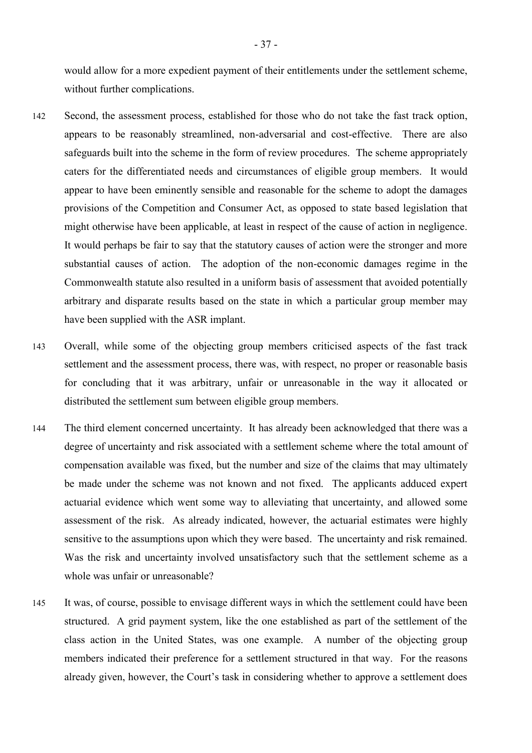would allow for a more expedient payment of their entitlements under the settlement scheme, without further complications.

- 142 Second, the assessment process, established for those who do not take the fast track option, appears to be reasonably streamlined, non-adversarial and cost-effective. There are also safeguards built into the scheme in the form of review procedures. The scheme appropriately caters for the differentiated needs and circumstances of eligible group members. It would appear to have been eminently sensible and reasonable for the scheme to adopt the damages provisions of the Competition and Consumer Act, as opposed to state based legislation that might otherwise have been applicable, at least in respect of the cause of action in negligence. It would perhaps be fair to say that the statutory causes of action were the stronger and more substantial causes of action. The adoption of the non-economic damages regime in the Commonwealth statute also resulted in a uniform basis of assessment that avoided potentially arbitrary and disparate results based on the state in which a particular group member may have been supplied with the ASR implant.
- 143 Overall, while some of the objecting group members criticised aspects of the fast track settlement and the assessment process, there was, with respect, no proper or reasonable basis for concluding that it was arbitrary, unfair or unreasonable in the way it allocated or distributed the settlement sum between eligible group members.
- 144 The third element concerned uncertainty. It has already been acknowledged that there was a degree of uncertainty and risk associated with a settlement scheme where the total amount of compensation available was fixed, but the number and size of the claims that may ultimately be made under the scheme was not known and not fixed. The applicants adduced expert actuarial evidence which went some way to alleviating that uncertainty, and allowed some assessment of the risk. As already indicated, however, the actuarial estimates were highly sensitive to the assumptions upon which they were based. The uncertainty and risk remained. Was the risk and uncertainty involved unsatisfactory such that the settlement scheme as a whole was unfair or unreasonable?
- 145 It was, of course, possible to envisage different ways in which the settlement could have been structured. A grid payment system, like the one established as part of the settlement of the class action in the United States, was one example. A number of the objecting group members indicated their preference for a settlement structured in that way. For the reasons already given, however, the Court's task in considering whether to approve a settlement does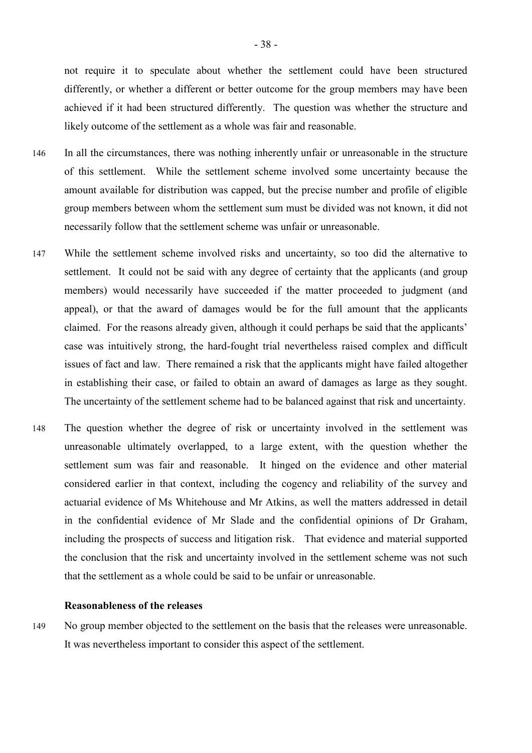not require it to speculate about whether the settlement could have been structured differently, or whether a different or better outcome for the group members may have been achieved if it had been structured differently. The question was whether the structure and likely outcome of the settlement as a whole was fair and reasonable.

- 146 In all the circumstances, there was nothing inherently unfair or unreasonable in the structure of this settlement. While the settlement scheme involved some uncertainty because the amount available for distribution was capped, but the precise number and profile of eligible group members between whom the settlement sum must be divided was not known, it did not necessarily follow that the settlement scheme was unfair or unreasonable.
- 147 While the settlement scheme involved risks and uncertainty, so too did the alternative to settlement. It could not be said with any degree of certainty that the applicants (and group members) would necessarily have succeeded if the matter proceeded to judgment (and appeal), or that the award of damages would be for the full amount that the applicants claimed. For the reasons already given, although it could perhaps be said that the applicants' case was intuitively strong, the hard-fought trial nevertheless raised complex and difficult issues of fact and law. There remained a risk that the applicants might have failed altogether in establishing their case, or failed to obtain an award of damages as large as they sought. The uncertainty of the settlement scheme had to be balanced against that risk and uncertainty.
- 148 The question whether the degree of risk or uncertainty involved in the settlement was unreasonable ultimately overlapped, to a large extent, with the question whether the settlement sum was fair and reasonable. It hinged on the evidence and other material considered earlier in that context, including the cogency and reliability of the survey and actuarial evidence of Ms Whitehouse and Mr Atkins, as well the matters addressed in detail in the confidential evidence of Mr Slade and the confidential opinions of Dr Graham, including the prospects of success and litigation risk. That evidence and material supported the conclusion that the risk and uncertainty involved in the settlement scheme was not such that the settlement as a whole could be said to be unfair or unreasonable.

#### **Reasonableness of the releases**

149 No group member objected to the settlement on the basis that the releases were unreasonable. It was nevertheless important to consider this aspect of the settlement.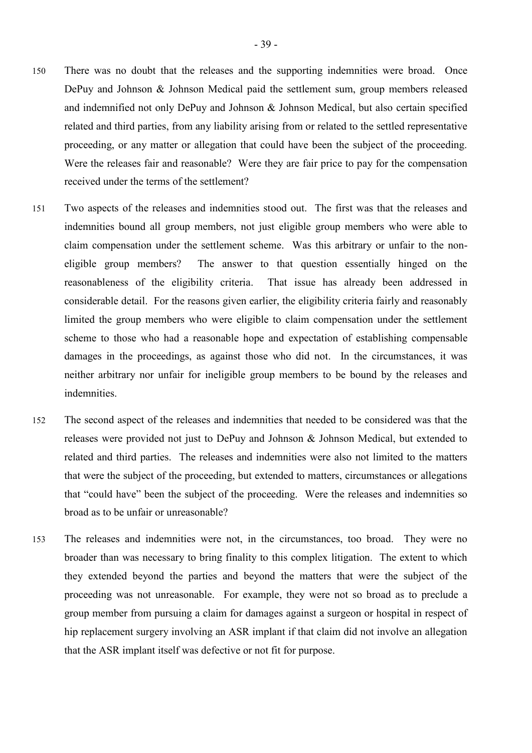- 150 There was no doubt that the releases and the supporting indemnities were broad. Once DePuy and Johnson & Johnson Medical paid the settlement sum, group members released and indemnified not only DePuy and Johnson & Johnson Medical, but also certain specified related and third parties, from any liability arising from or related to the settled representative proceeding, or any matter or allegation that could have been the subject of the proceeding. Were the releases fair and reasonable? Were they are fair price to pay for the compensation received under the terms of the settlement?
- 151 Two aspects of the releases and indemnities stood out. The first was that the releases and indemnities bound all group members, not just eligible group members who were able to claim compensation under the settlement scheme. Was this arbitrary or unfair to the noneligible group members? The answer to that question essentially hinged on the reasonableness of the eligibility criteria. That issue has already been addressed in considerable detail. For the reasons given earlier, the eligibility criteria fairly and reasonably limited the group members who were eligible to claim compensation under the settlement scheme to those who had a reasonable hope and expectation of establishing compensable damages in the proceedings, as against those who did not. In the circumstances, it was neither arbitrary nor unfair for ineligible group members to be bound by the releases and indemnities.
- 152 The second aspect of the releases and indemnities that needed to be considered was that the releases were provided not just to DePuy and Johnson & Johnson Medical, but extended to related and third parties. The releases and indemnities were also not limited to the matters that were the subject of the proceeding, but extended to matters, circumstances or allegations that "could have" been the subject of the proceeding. Were the releases and indemnities so broad as to be unfair or unreasonable?
- 153 The releases and indemnities were not, in the circumstances, too broad. They were no broader than was necessary to bring finality to this complex litigation. The extent to which they extended beyond the parties and beyond the matters that were the subject of the proceeding was not unreasonable. For example, they were not so broad as to preclude a group member from pursuing a claim for damages against a surgeon or hospital in respect of hip replacement surgery involving an ASR implant if that claim did not involve an allegation that the ASR implant itself was defective or not fit for purpose.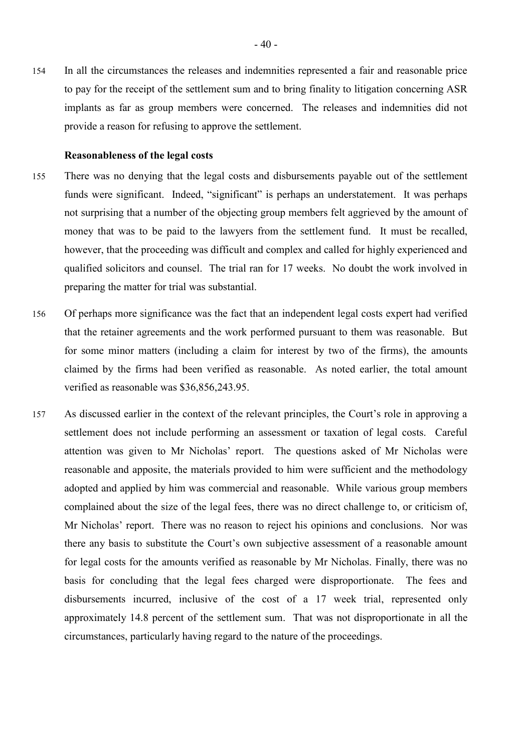154 In all the circumstances the releases and indemnities represented a fair and reasonable price to pay for the receipt of the settlement sum and to bring finality to litigation concerning ASR implants as far as group members were concerned. The releases and indemnities did not provide a reason for refusing to approve the settlement.

#### **Reasonableness of the legal costs**

- 155 There was no denying that the legal costs and disbursements payable out of the settlement funds were significant. Indeed, "significant" is perhaps an understatement. It was perhaps not surprising that a number of the objecting group members felt aggrieved by the amount of money that was to be paid to the lawyers from the settlement fund. It must be recalled, however, that the proceeding was difficult and complex and called for highly experienced and qualified solicitors and counsel. The trial ran for 17 weeks. No doubt the work involved in preparing the matter for trial was substantial.
- 156 Of perhaps more significance was the fact that an independent legal costs expert had verified that the retainer agreements and the work performed pursuant to them was reasonable. But for some minor matters (including a claim for interest by two of the firms), the amounts claimed by the firms had been verified as reasonable. As noted earlier, the total amount verified as reasonable was \$36,856,243.95.
- 157 As discussed earlier in the context of the relevant principles, the Court's role in approving a settlement does not include performing an assessment or taxation of legal costs. Careful attention was given to Mr Nicholas' report. The questions asked of Mr Nicholas were reasonable and apposite, the materials provided to him were sufficient and the methodology adopted and applied by him was commercial and reasonable. While various group members complained about the size of the legal fees, there was no direct challenge to, or criticism of, Mr Nicholas' report. There was no reason to reject his opinions and conclusions. Nor was there any basis to substitute the Court's own subjective assessment of a reasonable amount for legal costs for the amounts verified as reasonable by Mr Nicholas. Finally, there was no basis for concluding that the legal fees charged were disproportionate. The fees and disbursements incurred, inclusive of the cost of a 17 week trial, represented only approximately 14.8 percent of the settlement sum. That was not disproportionate in all the circumstances, particularly having regard to the nature of the proceedings.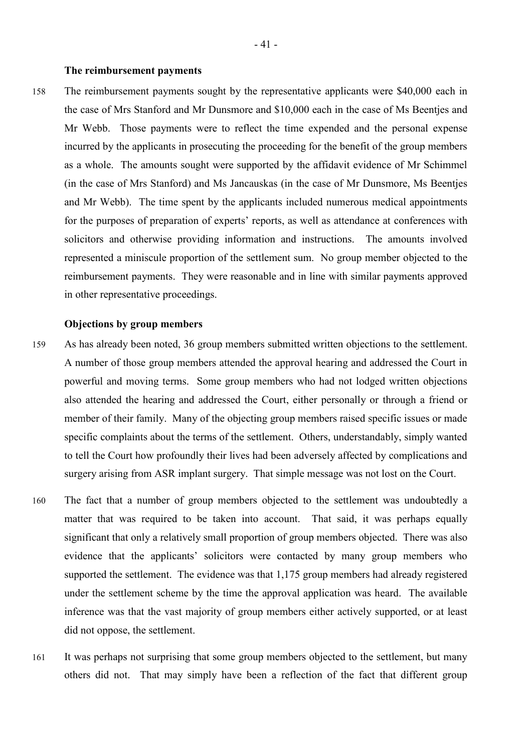#### **The reimbursement payments**

158 The reimbursement payments sought by the representative applicants were \$40,000 each in the case of Mrs Stanford and Mr Dunsmore and \$10,000 each in the case of Ms Beentjes and Mr Webb. Those payments were to reflect the time expended and the personal expense incurred by the applicants in prosecuting the proceeding for the benefit of the group members as a whole. The amounts sought were supported by the affidavit evidence of Mr Schimmel (in the case of Mrs Stanford) and Ms Jancauskas (in the case of Mr Dunsmore, Ms Beentjes and Mr Webb). The time spent by the applicants included numerous medical appointments for the purposes of preparation of experts' reports, as well as attendance at conferences with solicitors and otherwise providing information and instructions. The amounts involved represented a miniscule proportion of the settlement sum. No group member objected to the reimbursement payments. They were reasonable and in line with similar payments approved in other representative proceedings.

#### **Objections by group members**

- 159 As has already been noted, 36 group members submitted written objections to the settlement. A number of those group members attended the approval hearing and addressed the Court in powerful and moving terms. Some group members who had not lodged written objections also attended the hearing and addressed the Court, either personally or through a friend or member of their family. Many of the objecting group members raised specific issues or made specific complaints about the terms of the settlement. Others, understandably, simply wanted to tell the Court how profoundly their lives had been adversely affected by complications and surgery arising from ASR implant surgery. That simple message was not lost on the Court.
- 160 The fact that a number of group members objected to the settlement was undoubtedly a matter that was required to be taken into account. That said, it was perhaps equally significant that only a relatively small proportion of group members objected. There was also evidence that the applicants' solicitors were contacted by many group members who supported the settlement. The evidence was that 1,175 group members had already registered under the settlement scheme by the time the approval application was heard. The available inference was that the vast majority of group members either actively supported, or at least did not oppose, the settlement.
- 161 It was perhaps not surprising that some group members objected to the settlement, but many others did not. That may simply have been a reflection of the fact that different group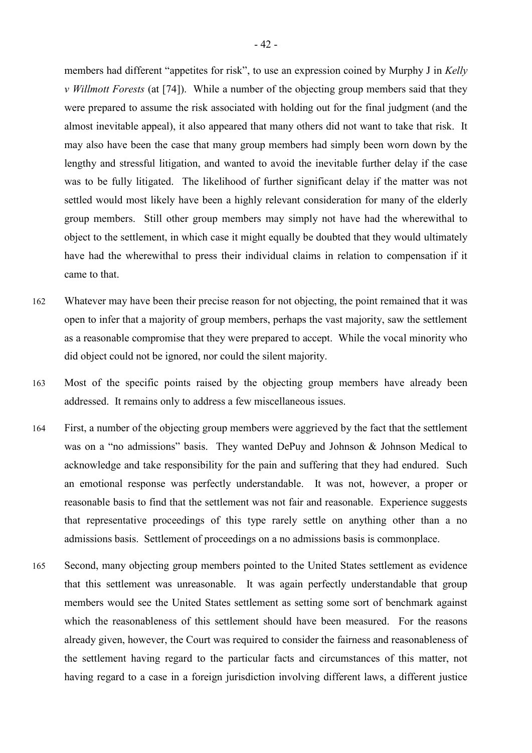members had different "appetites for risk", to use an expression coined by Murphy J in *Kelly v Willmott Forests* (at [74]). While a number of the objecting group members said that they were prepared to assume the risk associated with holding out for the final judgment (and the almost inevitable appeal), it also appeared that many others did not want to take that risk. It may also have been the case that many group members had simply been worn down by the lengthy and stressful litigation, and wanted to avoid the inevitable further delay if the case was to be fully litigated. The likelihood of further significant delay if the matter was not settled would most likely have been a highly relevant consideration for many of the elderly group members. Still other group members may simply not have had the wherewithal to object to the settlement, in which case it might equally be doubted that they would ultimately have had the wherewithal to press their individual claims in relation to compensation if it came to that.

- 162 Whatever may have been their precise reason for not objecting, the point remained that it was open to infer that a majority of group members, perhaps the vast majority, saw the settlement as a reasonable compromise that they were prepared to accept. While the vocal minority who did object could not be ignored, nor could the silent majority.
- 163 Most of the specific points raised by the objecting group members have already been addressed. It remains only to address a few miscellaneous issues.
- 164 First, a number of the objecting group members were aggrieved by the fact that the settlement was on a "no admissions" basis. They wanted DePuy and Johnson & Johnson Medical to acknowledge and take responsibility for the pain and suffering that they had endured. Such an emotional response was perfectly understandable. It was not, however, a proper or reasonable basis to find that the settlement was not fair and reasonable. Experience suggests that representative proceedings of this type rarely settle on anything other than a no admissions basis. Settlement of proceedings on a no admissions basis is commonplace.
- 165 Second, many objecting group members pointed to the United States settlement as evidence that this settlement was unreasonable. It was again perfectly understandable that group members would see the United States settlement as setting some sort of benchmark against which the reasonableness of this settlement should have been measured. For the reasons already given, however, the Court was required to consider the fairness and reasonableness of the settlement having regard to the particular facts and circumstances of this matter, not having regard to a case in a foreign jurisdiction involving different laws, a different justice